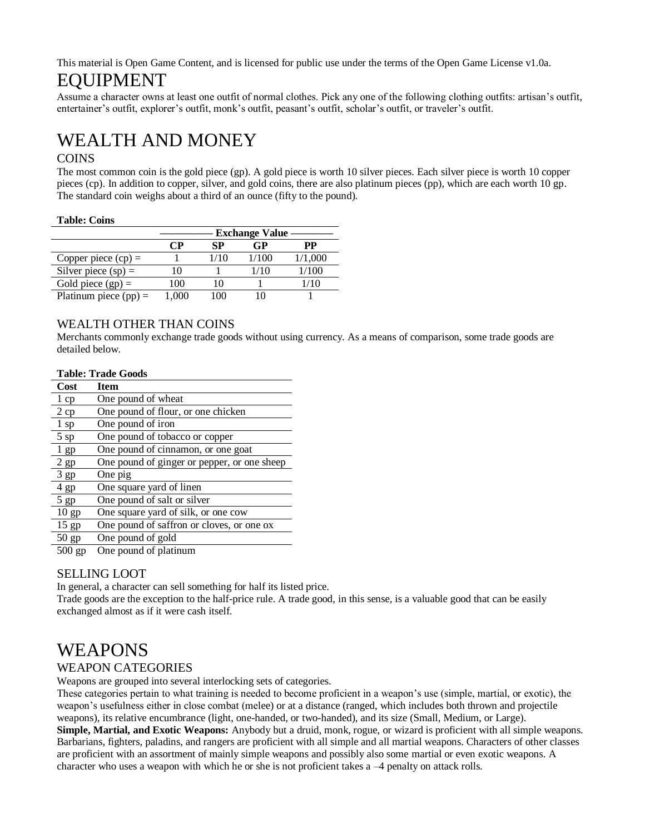This material is Open Game Content, and is licensed for public use under the terms of the Open Game License v1.0a.

# EQUIPMENT

Assume a character owns at least one outfit of normal clothes. Pick any one of the following clothing outfits: artisan's outfit, entertainer's outfit, explorer's outfit, monk's outfit, peasant's outfit, scholar's outfit, or traveler's outfit.

# WEALTH AND MONEY

# COINS

The most common coin is the gold piece (gp). A gold piece is worth 10 silver pieces. Each silver piece is worth 10 copper pieces (cp). In addition to copper, silver, and gold coins, there are also platinum pieces (pp), which are each worth 10 gp. The standard coin weighs about a third of an ounce (fifty to the pound).

#### **Table: Coins**

|                         | <b>Exchange Value</b> |      |       |         |  |
|-------------------------|-----------------------|------|-------|---------|--|
|                         | ſР                    | SP   | GP    | РP      |  |
| Copper piece $(cp) =$   |                       | 1/10 | 1/100 | 1/1,000 |  |
| Silver piece $(sp) =$   | 10                    |      | 1/10  | 1/100   |  |
| Gold piece $(gp)$ =     | 100                   | 10   |       | 1/10    |  |
| Platinum piece $(pp)$ = | 1,000                 | 100  | 10    |         |  |

# WEALTH OTHER THAN COINS

Merchants commonly exchange trade goods without using currency. As a means of comparison, some trade goods are detailed below.

|                 | <b>Table: Trade Goods</b>                   |
|-----------------|---------------------------------------------|
| <b>Cost</b>     | <b>Item</b>                                 |
| 1 cp            | One pound of wheat                          |
| 2cp             | One pound of flour, or one chicken          |
| $1$ sp          | One pound of iron                           |
| $5$ sp          | One pound of tobacco or copper              |
| $1$ gp          | One pound of cinnamon, or one goat          |
| $2$ gp          | One pound of ginger or pepper, or one sheep |
| 3 <sub>gp</sub> | One pig                                     |
| $4$ gp          | One square yard of linen                    |
| 5 gp            | One pound of salt or silver                 |
| $10$ gp         | One square yard of silk, or one cow         |
| $15$ gp         | One pound of saffron or cloves, or one ox   |
| $50$ gp         | One pound of gold                           |
| $500$ gp        | One pound of platinum                       |

# SELLING LOOT

In general, a character can sell something for half its listed price.

Trade goods are the exception to the half-price rule. A trade good, in this sense, is a valuable good that can be easily exchanged almost as if it were cash itself.

# WEAPONS

# WEAPON CATEGORIES

Weapons are grouped into several interlocking sets of categories.

These categories pertain to what training is needed to become proficient in a weapon's use (simple, martial, or exotic), the weapon's usefulness either in close combat (melee) or at a distance (ranged, which includes both thrown and projectile weapons), its relative encumbrance (light, one-handed, or two-handed), and its size (Small, Medium, or Large). **Simple, Martial, and Exotic Weapons:** Anybody but a druid, monk, rogue, or wizard is proficient with all simple weapons. Barbarians, fighters, paladins, and rangers are proficient with all simple and all martial weapons. Characters of other classes are proficient with an assortment of mainly simple weapons and possibly also some martial or even exotic weapons. A character who uses a weapon with which he or she is not proficient takes a –4 penalty on attack rolls.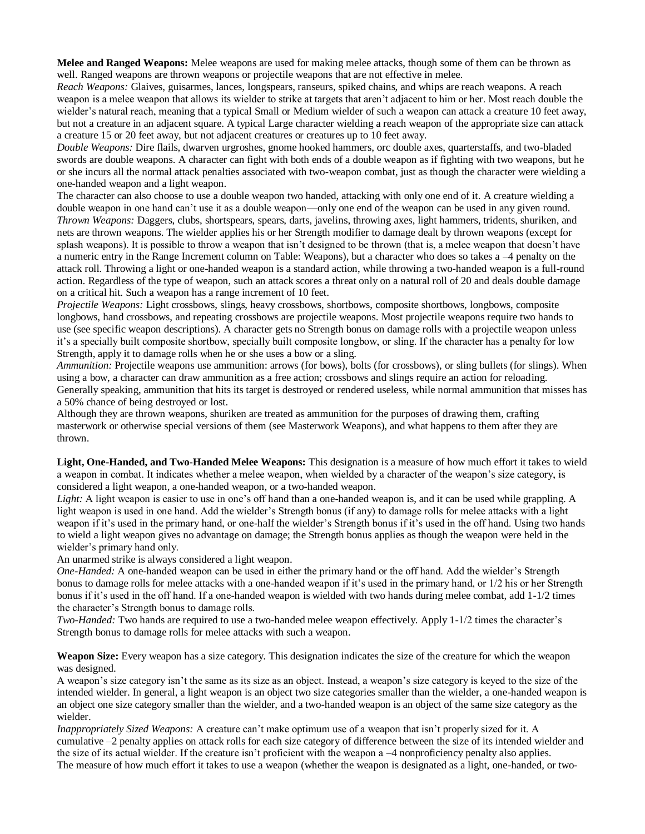**Melee and Ranged Weapons:** Melee weapons are used for making melee attacks, though some of them can be thrown as well. Ranged weapons are thrown weapons or projectile weapons that are not effective in melee.

*Reach Weapons:* Glaives, guisarmes, lances, longspears, ranseurs, spiked chains, and whips are reach weapons. A reach weapon is a melee weapon that allows its wielder to strike at targets that aren't adjacent to him or her. Most reach double the wielder's natural reach, meaning that a typical Small or Medium wielder of such a weapon can attack a creature 10 feet away, but not a creature in an adjacent square. A typical Large character wielding a reach weapon of the appropriate size can attack a creature 15 or 20 feet away, but not adjacent creatures or creatures up to 10 feet away.

*Double Weapons:* Dire flails, dwarven urgroshes, gnome hooked hammers, orc double axes, quarterstaffs, and two-bladed swords are double weapons. A character can fight with both ends of a double weapon as if fighting with two weapons, but he or she incurs all the normal attack penalties associated with two-weapon combat, just as though the character were wielding a one-handed weapon and a light weapon.

The character can also choose to use a double weapon two handed, attacking with only one end of it. A creature wielding a double weapon in one hand can't use it as a double weapon—only one end of the weapon can be used in any given round. *Thrown Weapons:* Daggers, clubs, shortspears, spears, darts, javelins, throwing axes, light hammers, tridents, shuriken, and nets are thrown weapons. The wielder applies his or her Strength modifier to damage dealt by thrown weapons (except for splash weapons). It is possible to throw a weapon that isn't designed to be thrown (that is, a melee weapon that doesn't have a numeric entry in the Range Increment column on Table: Weapons), but a character who does so takes a –4 penalty on the attack roll. Throwing a light or one-handed weapon is a standard action, while throwing a two-handed weapon is a full-round action. Regardless of the type of weapon, such an attack scores a threat only on a natural roll of 20 and deals double damage on a critical hit. Such a weapon has a range increment of 10 feet.

*Projectile Weapons:* Light crossbows, slings, heavy crossbows, shortbows, composite shortbows, longbows, composite longbows, hand crossbows, and repeating crossbows are projectile weapons. Most projectile weapons require two hands to use (see specific weapon descriptions). A character gets no Strength bonus on damage rolls with a projectile weapon unless it's a specially built composite shortbow, specially built composite longbow, or sling. If the character has a penalty for low Strength, apply it to damage rolls when he or she uses a bow or a sling.

*Ammunition:* Projectile weapons use ammunition: arrows (for bows), bolts (for crossbows), or sling bullets (for slings). When using a bow, a character can draw ammunition as a free action; crossbows and slings require an action for reloading. Generally speaking, ammunition that hits its target is destroyed or rendered useless, while normal ammunition that misses has a 50% chance of being destroyed or lost.

Although they are thrown weapons, shuriken are treated as ammunition for the purposes of drawing them, crafting masterwork or otherwise special versions of them (see Masterwork Weapons), and what happens to them after they are thrown.

**Light, One-Handed, and Two-Handed Melee Weapons:** This designation is a measure of how much effort it takes to wield a weapon in combat. It indicates whether a melee weapon, when wielded by a character of the weapon's size category, is considered a light weapon, a one-handed weapon, or a two-handed weapon.

*Light:* A light weapon is easier to use in one's off hand than a one-handed weapon is, and it can be used while grappling. A light weapon is used in one hand. Add the wielder's Strength bonus (if any) to damage rolls for melee attacks with a light weapon if it's used in the primary hand, or one-half the wielder's Strength bonus if it's used in the off hand. Using two hands to wield a light weapon gives no advantage on damage; the Strength bonus applies as though the weapon were held in the wielder's primary hand only.

An unarmed strike is always considered a light weapon.

*One-Handed:* A one-handed weapon can be used in either the primary hand or the off hand. Add the wielder's Strength bonus to damage rolls for melee attacks with a one-handed weapon if it's used in the primary hand, or 1/2 his or her Strength bonus if it's used in the off hand. If a one-handed weapon is wielded with two hands during melee combat, add 1-1/2 times the character's Strength bonus to damage rolls.

*Two-Handed:* Two hands are required to use a two-handed melee weapon effectively. Apply 1-1/2 times the character's Strength bonus to damage rolls for melee attacks with such a weapon.

**Weapon Size:** Every weapon has a size category. This designation indicates the size of the creature for which the weapon was designed.

A weapon's size category isn't the same as its size as an object. Instead, a weapon's size category is keyed to the size of the intended wielder. In general, a light weapon is an object two size categories smaller than the wielder, a one-handed weapon is an object one size category smaller than the wielder, and a two-handed weapon is an object of the same size category as the wielder.

*Inappropriately Sized Weapons:* A creature can't make optimum use of a weapon that isn't properly sized for it. A cumulative –2 penalty applies on attack rolls for each size category of difference between the size of its intended wielder and the size of its actual wielder. If the creature isn't proficient with the weapon a –4 nonproficiency penalty also applies. The measure of how much effort it takes to use a weapon (whether the weapon is designated as a light, one-handed, or two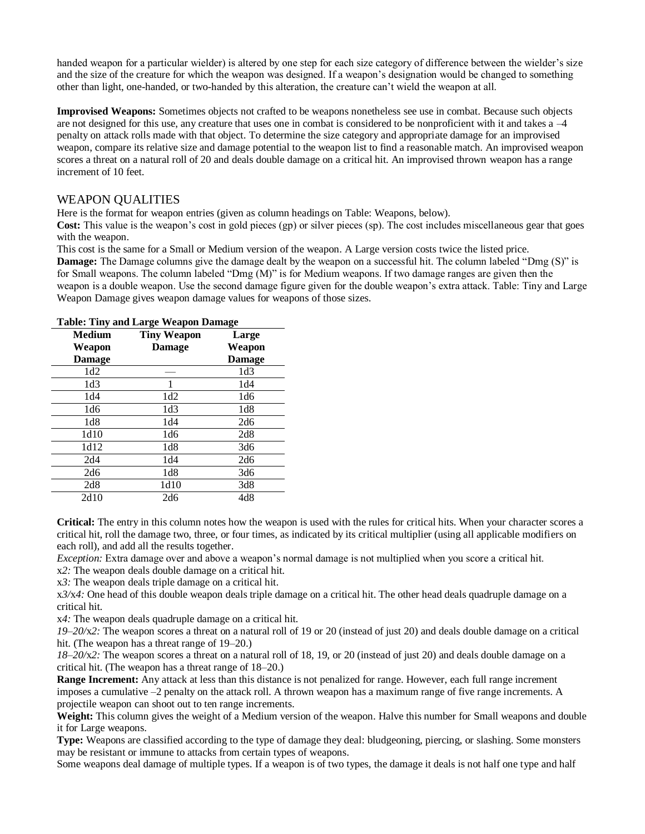handed weapon for a particular wielder) is altered by one step for each size category of difference between the wielder's size and the size of the creature for which the weapon was designed. If a weapon's designation would be changed to something other than light, one-handed, or two-handed by this alteration, the creature can't wield the weapon at all.

**Improvised Weapons:** Sometimes objects not crafted to be weapons nonetheless see use in combat. Because such objects are not designed for this use, any creature that uses one in combat is considered to be nonproficient with it and takes a –4 penalty on attack rolls made with that object. To determine the size category and appropriate damage for an improvised weapon, compare its relative size and damage potential to the weapon list to find a reasonable match. An improvised weapon scores a threat on a natural roll of 20 and deals double damage on a critical hit. An improvised thrown weapon has a range increment of 10 feet.

### WEAPON QUALITIES

Here is the format for weapon entries (given as column headings on Table: Weapons, below).

**Cost:** This value is the weapon's cost in gold pieces (gp) or silver pieces (sp). The cost includes miscellaneous gear that goes with the weapon.

This cost is the same for a Small or Medium version of the weapon. A Large version costs twice the listed price. **Damage:** The Damage columns give the damage dealt by the weapon on a successful hit. The column labeled "Dmg (S)" is for Small weapons. The column labeled "Dmg (M)" is for Medium weapons. If two damage ranges are given then the weapon is a double weapon. Use the second damage figure given for the double weapon's extra attack. Table: Tiny and Large Weapon Damage gives weapon damage values for weapons of those sizes.

| <b>Table: Tiny and Large Weapon Damage</b> |                                     |                 |  |  |  |
|--------------------------------------------|-------------------------------------|-----------------|--|--|--|
| <b>Medium</b><br>Weapon                    | <b>Tiny Weapon</b><br><b>Damage</b> | Large<br>Weapon |  |  |  |
| <b>Damage</b>                              |                                     | <b>Damage</b>   |  |  |  |
| 1d2                                        |                                     | 1d3             |  |  |  |
| 1d3                                        | 1                                   | 1d4             |  |  |  |
| 1d4                                        | 1d2                                 | 1d6             |  |  |  |
| 1d6                                        | 1d3                                 | 1d8             |  |  |  |
| 1 <sub>d8</sub>                            | 1d4                                 | 2d6             |  |  |  |
| 1d10                                       | 1d6                                 | 2d8             |  |  |  |
| 1d12                                       | 1d8                                 | 3d6             |  |  |  |
| 2d4                                        | 1d4                                 | 2d6             |  |  |  |
| 2d6                                        | 1d8                                 | 3d6             |  |  |  |
| 2d8                                        | 1d10                                | 3d8             |  |  |  |
| 2d10                                       | 2d6                                 | 4d8             |  |  |  |

**Critical:** The entry in this column notes how the weapon is used with the rules for critical hits. When your character scores a critical hit, roll the damage two, three, or four times, as indicated by its critical multiplier (using all applicable modifiers on each roll), and add all the results together.

*Exception:* Extra damage over and above a weapon's normal damage is not multiplied when you score a critical hit.

x*2:* The weapon deals double damage on a critical hit.

x*3:* The weapon deals triple damage on a critical hit.

x*3/*x*4:* One head of this double weapon deals triple damage on a critical hit. The other head deals quadruple damage on a critical hit.

x*4:* The weapon deals quadruple damage on a critical hit.

*19–20/*x*2:* The weapon scores a threat on a natural roll of 19 or 20 (instead of just 20) and deals double damage on a critical hit. (The weapon has a threat range of  $19-20$ .)

*18–20/*x*2:* The weapon scores a threat on a natural roll of 18, 19, or 20 (instead of just 20) and deals double damage on a critical hit. (The weapon has a threat range of 18–20.)

**Range Increment:** Any attack at less than this distance is not penalized for range. However, each full range increment imposes a cumulative –2 penalty on the attack roll. A thrown weapon has a maximum range of five range increments. A projectile weapon can shoot out to ten range increments.

**Weight:** This column gives the weight of a Medium version of the weapon. Halve this number for Small weapons and double it for Large weapons.

**Type:** Weapons are classified according to the type of damage they deal: bludgeoning, piercing, or slashing. Some monsters may be resistant or immune to attacks from certain types of weapons.

Some weapons deal damage of multiple types. If a weapon is of two types, the damage it deals is not half one type and half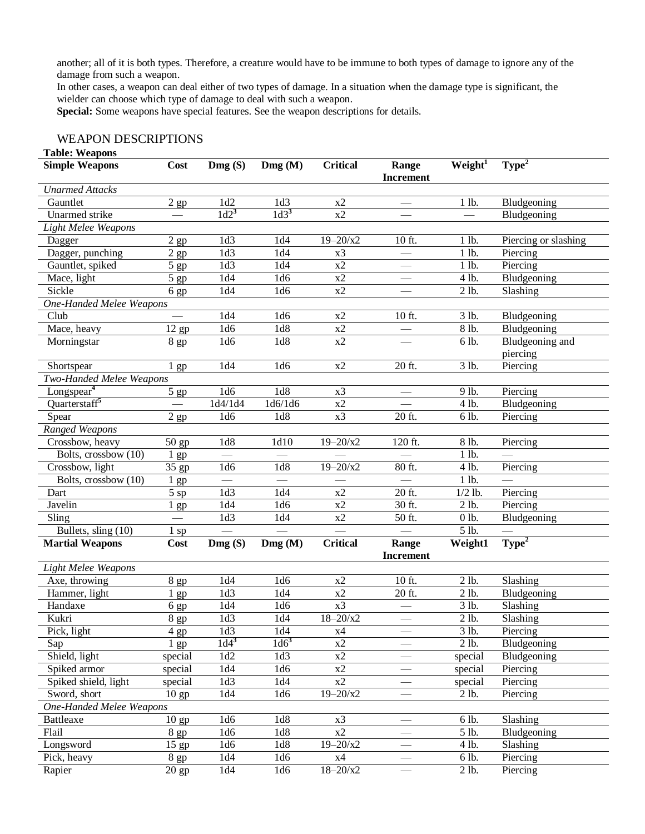another; all of it is both types. Therefore, a creature would have to be immune to both types of damage to ignore any of the damage from such a weapon.

In other cases, a weapon can deal either of two types of damage. In a situation when the damage type is significant, the wielder can choose which type of damage to deal with such a weapon.

**Special:** Some weapons have special features. See the weapon descriptions for details.

#### WEAPON DESCRIPTIONS **Table: Weapons**

| тиоте, ггенропо<br><b>Simple Weapons</b> | Cost                    | Dmg(S)           | Dmg(M)           | <b>Critical</b> | Range                           | Weight <sup>1</sup> | Type <sup>2</sup>                  |
|------------------------------------------|-------------------------|------------------|------------------|-----------------|---------------------------------|---------------------|------------------------------------|
| <b>Unarmed Attacks</b>                   |                         |                  |                  |                 | <b>Increment</b>                |                     |                                    |
| Gauntlet                                 |                         | 1d2              | 1d3              | x2              |                                 | 1 lb.               | Bludgeoning                        |
| Unarmed strike                           | $\frac{2 \text{ gp}}{}$ | 1d2 <sup>3</sup> | $1d3^3$          | x2              |                                 |                     | Bludgeoning                        |
|                                          |                         |                  |                  |                 |                                 |                     |                                    |
| <b>Light Melee Weapons</b>               |                         |                  |                  |                 |                                 |                     |                                    |
| Dagger                                   | 2 <sub>gp</sub>         | 1d3              | 1d4              | $19 - 20/x2$    | 10 ft.                          | 1 lb.               | Piercing or slashing               |
| Dagger, punching                         | $2$ $gp$                | 1d3              | 1d4              | x3              |                                 | 1 lb.               | Piercing                           |
| Gauntlet, spiked                         | $5$ $gp$                | 1d3              | 1d4              | x2              |                                 | 1 lb.               | Piercing                           |
| Mace, light                              | $5$ $gp$                | 1d4              | 1d6              | $\ge 2$         |                                 | 4 lb.               | Bludgeoning                        |
| Sickle                                   | 6 gp                    | 1d4              | 1d6              | x2              |                                 | 2 lb.               | Slashing                           |
| <b>One-Handed Melee Weapons</b>          |                         |                  |                  |                 |                                 |                     |                                    |
| Club                                     |                         | 1d4              | 1d6              | x2              | 10 ft.                          | 3 lb.               | Bludgeoning                        |
| Mace, heavy                              | 12 gp                   | 1d6              | 1d8              | $\ge 2$         |                                 | $8$ lb.             | Bludgeoning                        |
| Morningstar                              | 8 gp                    | 1d6              | 1d8              | $\overline{x2}$ |                                 | 6 lb.               | <b>Bludgeoning</b> and<br>piercing |
| Shortspear                               | $1$ gp                  | 1d4              | 1d6              | x2              | 20 ft.                          | 3 lb.               | Piercing                           |
| Two-Handed Melee Weapons                 |                         |                  |                  |                 |                                 |                     |                                    |
| Longspear <sup>4</sup>                   | 5 gp                    | 1d6              | 1d8              | x3              |                                 | 9 lb.               | Piercing                           |
| Quarterstaff <sup>5</sup>                |                         | 1d4/1d4          | 1d6/1d6          | x2              |                                 | 4 lb.               | Bludgeoning                        |
| Spear                                    | $2$ $gp$                | 1d6              | 1d8              | x3              | 20 ft.                          | 6 lb.               | Piercing                           |
| Ranged Weapons                           |                         |                  |                  |                 |                                 |                     |                                    |
| Crossbow, heavy                          | 50 gp                   | 1d8              | 1d10             | $19 - 20/x2$    | 120 ft.                         | 8 lb.               | Piercing                           |
| Bolts, crossbow (10)                     | $1$ gp                  |                  |                  |                 |                                 | 1 lb.               |                                    |
| Crossbow, light                          | 35 gp                   | 1d6              | 1d8              | $19 - 20/x2$    | 80 ft.                          | 4 lb.               | Piercing                           |
| Bolts, crossbow (10)                     | $1$ gp                  |                  |                  |                 |                                 | 1 lb.               |                                    |
| Dart                                     | 5sp                     | 1d3              | 1d4              | x2              | 20 ft.                          | $1/2$ lb.           | Piercing                           |
| Javelin                                  | $1$ gp                  | 1d4              | 1d6              | x2              | 30 ft.                          | 2 lb.               | Piercing                           |
| Sling                                    |                         | 1d3              | 1d4              | x2              | 50 ft.                          | $0$ lb.             | Bludgeoning                        |
| Bullets, sling (10)                      | $1$ sp                  |                  |                  |                 |                                 | 5 lb.               |                                    |
| <b>Martial Weapons</b>                   | Cost                    | Dmg(S)           | Dmg(M)           | <b>Critical</b> | Range                           | Weight1             | Type <sup>2</sup>                  |
|                                          |                         |                  |                  |                 | <b>Increment</b>                |                     |                                    |
| <b>Light Melee Weapons</b>               |                         |                  |                  |                 |                                 |                     |                                    |
| Axe, throwing                            | 8 gp                    | 1d4              | 1d6              | x2              | 10 ft.                          | 2 lb.               | Slashing                           |
| Hammer, light                            | $1$ gp                  | 1d3              | 1d4              | x2              | 20 ft.                          | $\overline{2}$ lb.  | Bludgeoning                        |
| Handaxe                                  | 6 gp                    | 1d4              | 1d6              | $\overline{x3}$ |                                 | 3 lb.               | Slashing                           |
| Kukri                                    | 8 gp                    | 1d3              | 1d4              | $18 - 20/x2$    |                                 | 2 lb.               | Slashing                           |
| Pick, light                              | $4$ gp                  | 1d3              | 1d4              | x4              |                                 | 3 lb.               | Piercing                           |
| Sap                                      | $1$ gp                  | $1d4^3$          | 1d6 <sup>3</sup> | x2              | $\overbrace{\qquad \qquad }^{}$ | $\overline{2}$ lb.  | Bludgeoning                        |
| Shield, light                            | special                 | 1d2              | 1d3              | x2              |                                 | special             | Bludgeoning                        |
| Spiked armor                             | special                 | 1d4              | 1d6              | x2              | $\overline{\phantom{0}}$        | special             | Piercing                           |
| Spiked shield, light                     | special                 | 1d3              | 1d4              | x2              | $\overline{\phantom{0}}$        | special             | Piercing                           |
| Sword, short                             | $10$ gp                 | 1d4              | 1d6              | $19 - 20/x2$    |                                 | 2 lb.               | Piercing                           |
| <b>One-Handed Melee Weapons</b>          |                         |                  |                  |                 |                                 |                     |                                    |
| Battleaxe                                | $10$ gp                 | 1d6              | 1d8              | x3              |                                 | 6 lb.               | Slashing                           |
| Flail                                    | 8 gp                    | 1d6              | 1d8              | x2              |                                 | 5 lb.               | Bludgeoning                        |
| Longsword                                | 15 gp                   | 1d6              | 1d8              | $19 - 20/x2$    | $\overline{\phantom{0}}$        | 4 lb.               | $\overline{\text{Slashing}}$       |
| Pick, heavy                              | 8 gp                    | 1d4              | 1d6              | x4              |                                 | 6 lb.               | Piercing                           |
| Rapier                                   | 20 gp                   | 1d4              | 1d6              | $18 - 20/x2$    | $\overline{\phantom{0}}$        | 2 lb.               | Piercing                           |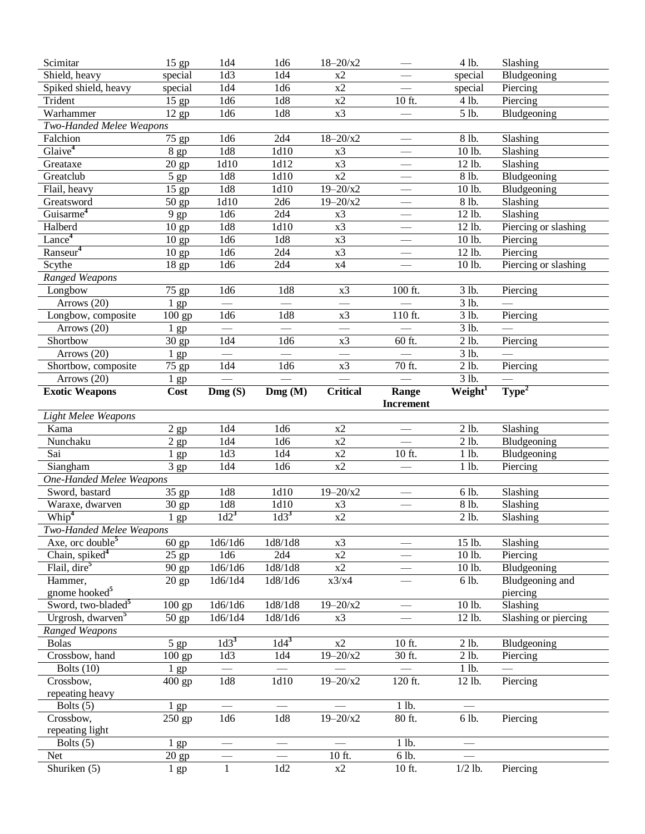| Scimitar                        | $15$ gp            | 1d4                     | 1d6              | $18 - 20/x2$       |                          | 4 lb.               | Slashing             |
|---------------------------------|--------------------|-------------------------|------------------|--------------------|--------------------------|---------------------|----------------------|
| Shield, heavy                   | special            | 1d3                     | 1d4              | x2                 |                          | special             | Bludgeoning          |
| Spiked shield, heavy            | special            | 1d4                     | 1d6              | x2                 |                          | special             | Piercing             |
| Trident                         | 15 gp              | 1d6                     | $1d8$            | x2                 | 10 ft.                   | 4 lb.               | Piercing             |
| Warhammer                       | $12$ gp            | 1d6                     | 1d8              | $\overline{x3}$    |                          | 5 lb.               | Bludgeoning          |
| Two-Handed Melee Weapons        |                    |                         |                  |                    |                          |                     |                      |
| Falchion                        | 75 gp              | 1d6                     | 2d4              | $18 - 20/x2$       |                          | 8 lb.               | Slashing             |
| Glaive <sup>4</sup>             | 8 gp               | $1d8$                   | $1d10$           | x3                 | $\overline{\phantom{0}}$ | 10 lb.              | Slashing             |
| Greataxe                        | 20 gp              | 1d10                    | 1d12             | $\overline{x3}$    |                          | 12 lb.              | Slashing             |
| Greatclub                       | $5$ $gp$           | $1d8$                   | $1d10$           | $\overline{x2}$    | $\overline{\phantom{0}}$ | 8 lb.               | Bludgeoning          |
| Flail, heavy                    | 15 gp              | $1d8$                   | 1d10             | $19 - 20/x2$       |                          | 10 lb.              | Bludgeoning          |
| Greatsword                      | 50 <sub>gp</sub>   | 1d10                    | 2d6              | $19 - 20/x2$       |                          | 8 lb.               | Slashing             |
| Guisarme <sup>4</sup>           | 9 gp               | 1d6                     | 2d4              | x3                 |                          | 12 lb.              | Slashing             |
| Halberd                         | $10$ gp            | 1d8                     | 1d10             | x3                 | $\qquad \qquad$          | 12 lb.              | Piercing or slashing |
| Lance <sup>4</sup>              | $10$ gp            | 1d6                     | 1d8              | $\overline{x3}$    |                          | 10 lb.              | Piercing             |
| Ranseur <sup>4</sup>            | $\overline{10}$ gp | 1d6                     | 2d4              | x3                 | $\qquad \qquad$          | 12 lb.              | Piercing             |
| Scythe                          | 18 gp              | 1d6                     | 2d4              | $\ge 4$            |                          | 10 lb.              | Piercing or slashing |
| Ranged Weapons                  |                    |                         |                  |                    |                          |                     |                      |
| Longbow                         | 75 gp              | 1d6                     | 1d8              | x3                 | 100 ft.                  | 3 lb.               | Piercing             |
| Arrows (20)                     | $1$ gp             |                         |                  |                    |                          | 3 lb.               |                      |
| Longbow, composite              | $100$ gp           | 1d6                     | $1d8$            | x3                 | 110 ft.                  | 3 lb.               | Piercing             |
| Arrows (20)                     | $1$ gp             |                         |                  |                    |                          | 3 lb.               |                      |
| Shortbow                        | $\overline{30}$ gp | 1d4                     | 1d6              | x3                 | 60 ft.                   | 2 lb.               | Piercing             |
| Arrows (20)                     | $1$ gp             |                         |                  |                    |                          | 3 lb.               |                      |
| Shortbow, composite             | 75 gp              | 1d4                     | 1d6              | x3                 | 70 ft.                   | 2 lb.               | Piercing             |
| Arrows (20)                     | $1$ gp             |                         |                  |                    |                          | 3 lb.               |                      |
| <b>Exotic Weapons</b>           | Cost               | Dmg(S)                  | Dmg(M)           | <b>Critical</b>    | Range                    | Weight <sup>1</sup> | Type <sup>2</sup>    |
|                                 |                    |                         |                  |                    | <b>Increment</b>         |                     |                      |
| <b>Light Melee Weapons</b>      |                    |                         |                  |                    |                          |                     |                      |
|                                 |                    |                         |                  |                    |                          |                     |                      |
| Kama                            |                    | 1d4                     | 1d6              | x2                 |                          | 2 lb.               | Slashing             |
| Nunchaku                        | $2$ gp             | 1d4                     | 1d6              | x2                 |                          | 2 lb.               | Bludgeoning          |
| Sai                             | $2$ gp             | 1d3                     | 1d4              |                    | 10 ft.                   | 1 lb.               |                      |
|                                 | $1$ gp             | 1d4                     | 1d6              | $\ge 2$<br>x2      |                          | 1 lb.               | Bludgeoning          |
| Siangham                        | 3 gp               |                         |                  |                    |                          |                     | Piercing             |
| <b>One-Handed Melee Weapons</b> |                    |                         |                  |                    |                          |                     |                      |
| Sword, bastard                  | 35 gp              | $1d8$                   | 1d10             | $19 - 20/x2$       |                          | 6 lb.               | Slashing             |
| Waraxe, dwarven                 | 30 gp              | 1d8<br>1d2 <sup>3</sup> | 1d10             | x3                 |                          | 8 lb.               | Slashing             |
| Whip <sup>4</sup>               | $1$ gp             |                         | 1d3 <sup>3</sup> | $\overline{x2}$    |                          | 2 lb.               | Slashing             |
| Two-Handed Melee Weapons        |                    |                         |                  |                    |                          |                     |                      |
| Axe, orc double $5$             | $60$ gp            | 1d6/1d6                 | 1d8/1d8          | x3                 |                          | 15 lb.              | Slashing             |
| Chain, spiked <sup>4</sup>      | $25$ $gp$          | 1d6                     | 2d4              | x2                 |                          | 10 lb.              | Piercing             |
| Flail, dire <sup>5</sup>        | $90$ gp            | 1d6/1d6                 | $1d8/1d8$        | $\ge 2$            |                          | 10 lb.              | Bludgeoning          |
| Hammer,                         | 20 gp              | 1d6/1d4                 | 1d8/1d6          | $\overline{x3}/x4$ |                          | 6 lb.               | Bludgeoning and      |
| gnome hooked <sup>5</sup>       |                    |                         |                  |                    |                          |                     | piercing             |
| Sword, two-bladed <sup>5</sup>  | $100$ gp           | $1d6/1d6$               | $1d8/1d8$        | $19 - 20/x2$       |                          | 10 lb.              | Slashing             |
| Urgrosh, dwarven <sup>5</sup>   | $50$ gp            | 1d6/1d4                 | $1d8/1d6$        | x3                 |                          | 12 lb.              | Slashing or piercing |
| Ranged Weapons                  |                    |                         |                  |                    |                          |                     |                      |
| <b>Bolas</b>                    | 5 <sub>gp</sub>    | 1d3 <sup>3</sup>        | $1d4^3$          | x2                 | 10 ft.                   | 2 lb.               | Bludgeoning          |
| Crossbow, hand                  | $100$ gp           | 1d3                     | 1d4              | $19 - 20/x2$       | 30 ft.                   | 2 lb.               | Piercing             |
| Bolts $(10)$                    | $1$ gp             |                         |                  |                    |                          | 1 lb.               |                      |
| Crossbow,                       | $400$ gp           | 1d8                     | 1d10             | $19 - 20/x2$       | 120 ft.                  | 12 lb.              | Piercing             |
| repeating heavy                 |                    |                         |                  |                    |                          |                     |                      |
| Bolts $(5)$                     | $1$ gp             |                         |                  |                    | 1 lb.                    |                     |                      |
| Crossbow,                       | $250$ gp           | 1d6                     | $1d8$            | $19 - 20/x2$       | 80 ft.                   | 6 lb.               | Piercing             |
| repeating light                 |                    |                         |                  |                    |                          |                     |                      |
| Bolts $(5)$                     | $1$ gp             |                         |                  |                    | 1 lb.                    |                     |                      |
| Net<br>Shuriken (5)             | $20$ gp<br>$1$ gp  | $\mathbf{1}$            | 1d2              | 10 ft.<br>x2       | 6 lb.<br>10 ft.          | $1/2$ lb.           | Piercing             |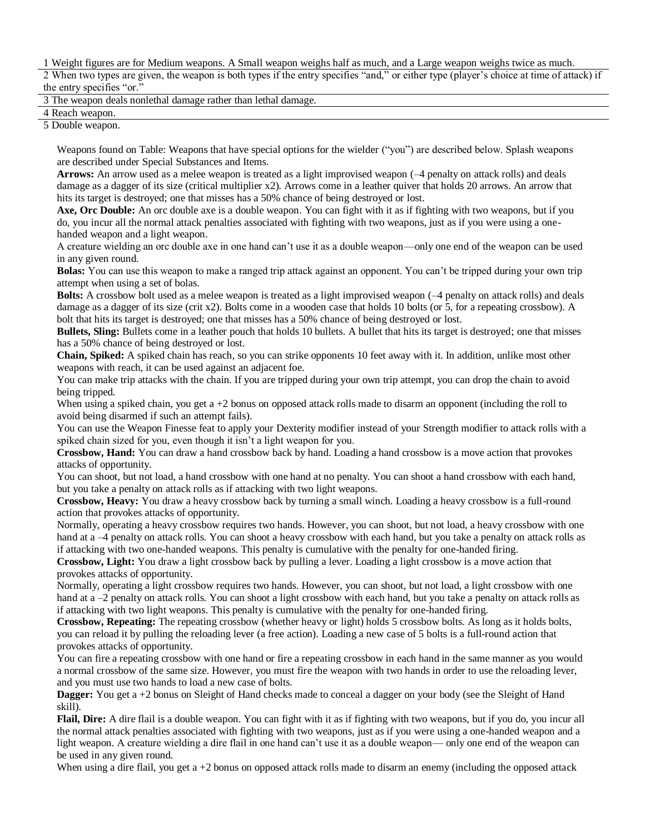1 Weight figures are for Medium weapons. A Small weapon weighs half as much, and a Large weapon weighs twice as much.

2 When two types are given, the weapon is both types if the entry specifies "and," or either type (player's choice at time of attack) if the entry specifies "or."

3 The weapon deals nonlethal damage rather than lethal damage.

4 Reach weapon.

5 Double weapon.

Weapons found on Table: Weapons that have special options for the wielder ("you") are described below. Splash weapons are described under Special Substances and Items.

**Arrows:** An arrow used as a melee weapon is treated as a light improvised weapon (–4 penalty on attack rolls) and deals damage as a dagger of its size (critical multiplier x2). Arrows come in a leather quiver that holds 20 arrows. An arrow that hits its target is destroyed; one that misses has a 50% chance of being destroyed or lost.

**Axe, Orc Double:** An orc double axe is a double weapon. You can fight with it as if fighting with two weapons, but if you do, you incur all the normal attack penalties associated with fighting with two weapons, just as if you were using a onehanded weapon and a light weapon.

A creature wielding an orc double axe in one hand can't use it as a double weapon—only one end of the weapon can be used in any given round.

**Bolas:** You can use this weapon to make a ranged trip attack against an opponent. You can't be tripped during your own trip attempt when using a set of bolas.

**Bolts:** A crossbow bolt used as a melee weapon is treated as a light improvised weapon (–4 penalty on attack rolls) and deals damage as a dagger of its size (crit x2). Bolts come in a wooden case that holds 10 bolts (or 5, for a repeating crossbow). A bolt that hits its target is destroyed; one that misses has a 50% chance of being destroyed or lost.

**Bullets, Sling:** Bullets come in a leather pouch that holds 10 bullets. A bullet that hits its target is destroyed; one that misses has a 50% chance of being destroyed or lost.

**Chain, Spiked:** A spiked chain has reach, so you can strike opponents 10 feet away with it. In addition, unlike most other weapons with reach, it can be used against an adjacent foe.

You can make trip attacks with the chain. If you are tripped during your own trip attempt, you can drop the chain to avoid being tripped.

When using a spiked chain, you get a +2 bonus on opposed attack rolls made to disarm an opponent (including the roll to avoid being disarmed if such an attempt fails).

You can use the Weapon Finesse feat to apply your Dexterity modifier instead of your Strength modifier to attack rolls with a spiked chain sized for you, even though it isn't a light weapon for you.

**Crossbow, Hand:** You can draw a hand crossbow back by hand. Loading a hand crossbow is a move action that provokes attacks of opportunity.

You can shoot, but not load, a hand crossbow with one hand at no penalty. You can shoot a hand crossbow with each hand, but you take a penalty on attack rolls as if attacking with two light weapons.

**Crossbow, Heavy:** You draw a heavy crossbow back by turning a small winch. Loading a heavy crossbow is a full-round action that provokes attacks of opportunity.

Normally, operating a heavy crossbow requires two hands. However, you can shoot, but not load, a heavy crossbow with one hand at a –4 penalty on attack rolls. You can shoot a heavy crossbow with each hand, but you take a penalty on attack rolls as if attacking with two one-handed weapons. This penalty is cumulative with the penalty for one-handed firing.

**Crossbow, Light:** You draw a light crossbow back by pulling a lever. Loading a light crossbow is a move action that provokes attacks of opportunity.

Normally, operating a light crossbow requires two hands. However, you can shoot, but not load, a light crossbow with one hand at a –2 penalty on attack rolls. You can shoot a light crossbow with each hand, but you take a penalty on attack rolls as if attacking with two light weapons. This penalty is cumulative with the penalty for one-handed firing.

**Crossbow, Repeating:** The repeating crossbow (whether heavy or light) holds 5 crossbow bolts. As long as it holds bolts, you can reload it by pulling the reloading lever (a free action). Loading a new case of 5 bolts is a full-round action that provokes attacks of opportunity.

You can fire a repeating crossbow with one hand or fire a repeating crossbow in each hand in the same manner as you would a normal crossbow of the same size. However, you must fire the weapon with two hands in order to use the reloading lever, and you must use two hands to load a new case of bolts.

**Dagger:** You get a +2 bonus on Sleight of Hand checks made to conceal a dagger on your body (see the Sleight of Hand skill).

**Flail, Dire:** A dire flail is a double weapon. You can fight with it as if fighting with two weapons, but if you do, you incur all the normal attack penalties associated with fighting with two weapons, just as if you were using a one-handed weapon and a light weapon. A creature wielding a dire flail in one hand can't use it as a double weapon— only one end of the weapon can be used in any given round.

When using a dire flail, you get a  $+2$  bonus on opposed attack rolls made to disarm an enemy (including the opposed attack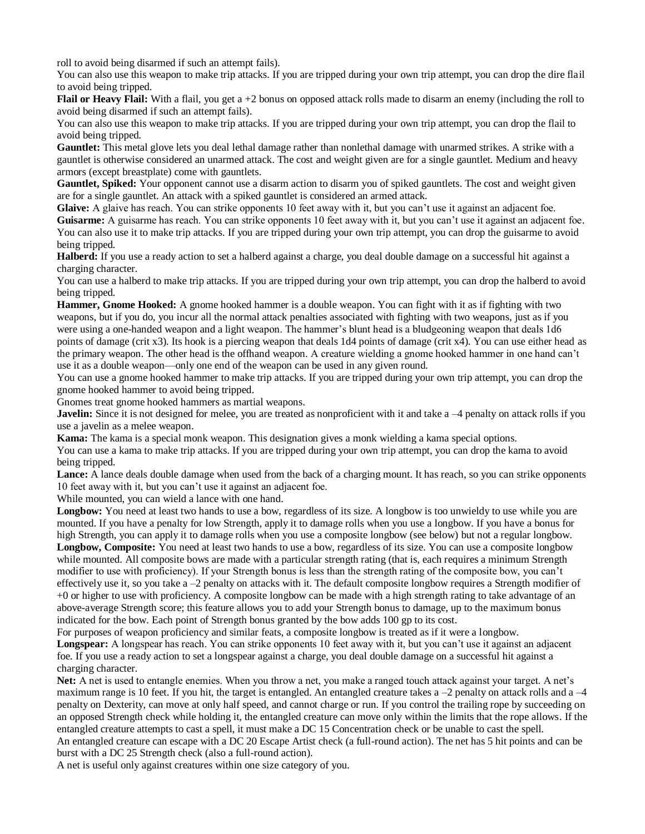roll to avoid being disarmed if such an attempt fails).

You can also use this weapon to make trip attacks. If you are tripped during your own trip attempt, you can drop the dire flail to avoid being tripped.

**Flail or Heavy Flail:** With a flail, you get a +2 bonus on opposed attack rolls made to disarm an enemy (including the roll to avoid being disarmed if such an attempt fails).

You can also use this weapon to make trip attacks. If you are tripped during your own trip attempt, you can drop the flail to avoid being tripped.

**Gauntlet:** This metal glove lets you deal lethal damage rather than nonlethal damage with unarmed strikes. A strike with a gauntlet is otherwise considered an unarmed attack. The cost and weight given are for a single gauntlet. Medium and heavy armors (except breastplate) come with gauntlets.

**Gauntlet, Spiked:** Your opponent cannot use a disarm action to disarm you of spiked gauntlets. The cost and weight given are for a single gauntlet. An attack with a spiked gauntlet is considered an armed attack.

**Glaive:** A glaive has reach. You can strike opponents 10 feet away with it, but you can't use it against an adjacent foe. **Guisarme:** A guisarme has reach. You can strike opponents 10 feet away with it, but you can't use it against an adjacent foe. You can also use it to make trip attacks. If you are tripped during your own trip attempt, you can drop the guisarme to avoid being tripped.

**Halberd:** If you use a ready action to set a halberd against a charge, you deal double damage on a successful hit against a charging character.

You can use a halberd to make trip attacks. If you are tripped during your own trip attempt, you can drop the halberd to avoid being tripped.

**Hammer, Gnome Hooked:** A gnome hooked hammer is a double weapon. You can fight with it as if fighting with two weapons, but if you do, you incur all the normal attack penalties associated with fighting with two weapons, just as if you were using a one-handed weapon and a light weapon. The hammer's blunt head is a bludgeoning weapon that deals 1d6 points of damage (crit x3). Its hook is a piercing weapon that deals 1d4 points of damage (crit x4). You can use either head as the primary weapon. The other head is the offhand weapon. A creature wielding a gnome hooked hammer in one hand can't use it as a double weapon—only one end of the weapon can be used in any given round.

You can use a gnome hooked hammer to make trip attacks. If you are tripped during your own trip attempt, you can drop the gnome hooked hammer to avoid being tripped.

Gnomes treat gnome hooked hammers as martial weapons.

**Javelin:** Since it is not designed for melee, you are treated as nonproficient with it and take a –4 penalty on attack rolls if you use a javelin as a melee weapon.

**Kama:** The kama is a special monk weapon. This designation gives a monk wielding a kama special options.

You can use a kama to make trip attacks. If you are tripped during your own trip attempt, you can drop the kama to avoid being tripped.

Lance: A lance deals double damage when used from the back of a charging mount. It has reach, so you can strike opponents 10 feet away with it, but you can't use it against an adjacent foe.

While mounted, you can wield a lance with one hand.

Longbow: You need at least two hands to use a bow, regardless of its size. A longbow is too unwieldy to use while you are mounted. If you have a penalty for low Strength, apply it to damage rolls when you use a longbow. If you have a bonus for high Strength, you can apply it to damage rolls when you use a composite longbow (see below) but not a regular longbow. **Longbow, Composite:** You need at least two hands to use a bow, regardless of its size. You can use a composite longbow

while mounted. All composite bows are made with a particular strength rating (that is, each requires a minimum Strength modifier to use with proficiency). If your Strength bonus is less than the strength rating of the composite bow, you can't effectively use it, so you take a –2 penalty on attacks with it. The default composite longbow requires a Strength modifier of +0 or higher to use with proficiency. A composite longbow can be made with a high strength rating to take advantage of an above-average Strength score; this feature allows you to add your Strength bonus to damage, up to the maximum bonus indicated for the bow. Each point of Strength bonus granted by the bow adds 100 gp to its cost.

For purposes of weapon proficiency and similar feats, a composite longbow is treated as if it were a longbow.

**Longspear:** A longspear has reach. You can strike opponents 10 feet away with it, but you can't use it against an adjacent foe. If you use a ready action to set a longspear against a charge, you deal double damage on a successful hit against a charging character.

Net: A net is used to entangle enemies. When you throw a net, you make a ranged touch attack against your target. A net's maximum range is 10 feet. If you hit, the target is entangled. An entangled creature takes  $a - 2$  penalty on attack rolls and  $a - 4$ penalty on Dexterity, can move at only half speed, and cannot charge or run. If you control the trailing rope by succeeding on an opposed Strength check while holding it, the entangled creature can move only within the limits that the rope allows. If the entangled creature attempts to cast a spell, it must make a DC 15 Concentration check or be unable to cast the spell. An entangled creature can escape with a DC 20 Escape Artist check (a full-round action). The net has 5 hit points and can be

burst with a DC 25 Strength check (also a full-round action).

A net is useful only against creatures within one size category of you.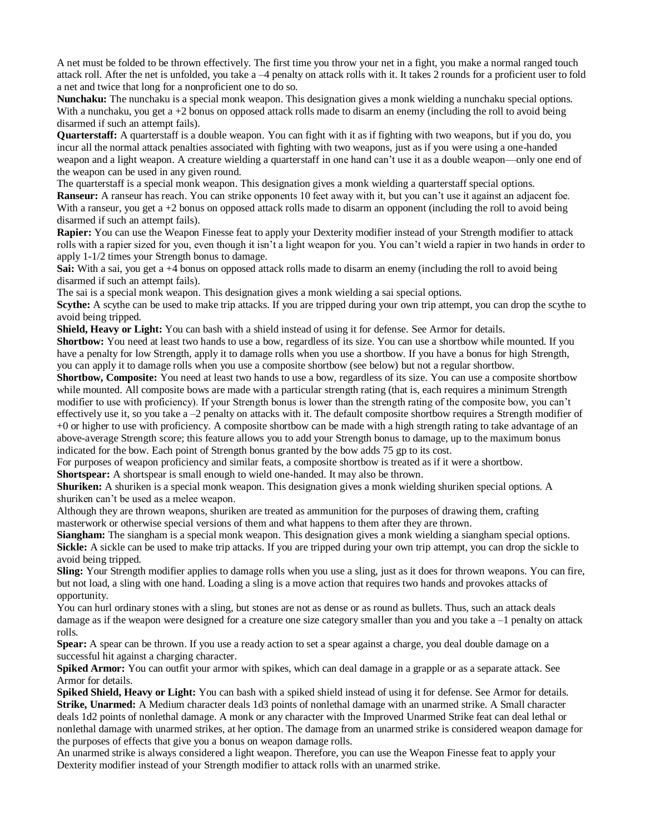A net must be folded to be thrown effectively. The first time you throw your net in a fight, you make a normal ranged touch attack roll. After the net is unfolded, you take a –4 penalty on attack rolls with it. It takes 2 rounds for a proficient user to fold a net and twice that long for a nonproficient one to do so.

**Nunchaku:** The nunchaku is a special monk weapon. This designation gives a monk wielding a nunchaku special options. With a nunchaku, you get a +2 bonus on opposed attack rolls made to disarm an enemy (including the roll to avoid being disarmed if such an attempt fails).

**Quarterstaff:** A quarterstaff is a double weapon. You can fight with it as if fighting with two weapons, but if you do, you incur all the normal attack penalties associated with fighting with two weapons, just as if you were using a one-handed weapon and a light weapon. A creature wielding a quarterstaff in one hand can't use it as a double weapon—only one end of the weapon can be used in any given round.

The quarterstaff is a special monk weapon. This designation gives a monk wielding a quarterstaff special options.

**Ranseur:** A ranseur has reach. You can strike opponents 10 feet away with it, but you can't use it against an adjacent foe. With a ranseur, you get a +2 bonus on opposed attack rolls made to disarm an opponent (including the roll to avoid being disarmed if such an attempt fails).

**Rapier:** You can use the Weapon Finesse feat to apply your Dexterity modifier instead of your Strength modifier to attack rolls with a rapier sized for you, even though it isn't a light weapon for you. You can't wield a rapier in two hands in order to apply 1-1/2 times your Strength bonus to damage.

**Sai:** With a sai, you get a +4 bonus on opposed attack rolls made to disarm an enemy (including the roll to avoid being disarmed if such an attempt fails).

The sai is a special monk weapon. This designation gives a monk wielding a sai special options.

**Scythe:** A scythe can be used to make trip attacks. If you are tripped during your own trip attempt, you can drop the scythe to avoid being tripped.

**Shield, Heavy or Light:** You can bash with a shield instead of using it for defense. See Armor for details.

**Shortbow:** You need at least two hands to use a bow, regardless of its size. You can use a shortbow while mounted. If you have a penalty for low Strength, apply it to damage rolls when you use a shortbow. If you have a bonus for high Strength, you can apply it to damage rolls when you use a composite shortbow (see below) but not a regular shortbow.

**Shortbow, Composite:** You need at least two hands to use a bow, regardless of its size. You can use a composite shortbow while mounted. All composite bows are made with a particular strength rating (that is, each requires a minimum Strength modifier to use with proficiency). If your Strength bonus is lower than the strength rating of the composite bow, you can't effectively use it, so you take a –2 penalty on attacks with it. The default composite shortbow requires a Strength modifier of +0 or higher to use with proficiency. A composite shortbow can be made with a high strength rating to take advantage of an above-average Strength score; this feature allows you to add your Strength bonus to damage, up to the maximum bonus indicated for the bow. Each point of Strength bonus granted by the bow adds 75 gp to its cost.

For purposes of weapon proficiency and similar feats, a composite shortbow is treated as if it were a shortbow.

**Shortspear:** A shortspear is small enough to wield one-handed. It may also be thrown.

**Shuriken:** A shuriken is a special monk weapon. This designation gives a monk wielding shuriken special options. A shuriken can't be used as a melee weapon.

Although they are thrown weapons, shuriken are treated as ammunition for the purposes of drawing them, crafting masterwork or otherwise special versions of them and what happens to them after they are thrown.

**Siangham:** The siangham is a special monk weapon. This designation gives a monk wielding a siangham special options. **Sickle:** A sickle can be used to make trip attacks. If you are tripped during your own trip attempt, you can drop the sickle to avoid being tripped.

**Sling:** Your Strength modifier applies to damage rolls when you use a sling, just as it does for thrown weapons. You can fire, but not load, a sling with one hand. Loading a sling is a move action that requires two hands and provokes attacks of opportunity.

You can hurl ordinary stones with a sling, but stones are not as dense or as round as bullets. Thus, such an attack deals damage as if the weapon were designed for a creature one size category smaller than you and you take  $a - 1$  penalty on attack rolls.

**Spear:** A spear can be thrown. If you use a ready action to set a spear against a charge, you deal double damage on a successful hit against a charging character.

**Spiked Armor:** You can outfit your armor with spikes, which can deal damage in a grapple or as a separate attack. See Armor for details.

**Spiked Shield, Heavy or Light:** You can bash with a spiked shield instead of using it for defense. See Armor for details. **Strike, Unarmed:** A Medium character deals 1d3 points of nonlethal damage with an unarmed strike. A Small character deals 1d2 points of nonlethal damage. A monk or any character with the Improved Unarmed Strike feat can deal lethal or nonlethal damage with unarmed strikes, at her option. The damage from an unarmed strike is considered weapon damage for the purposes of effects that give you a bonus on weapon damage rolls.

An unarmed strike is always considered a light weapon. Therefore, you can use the Weapon Finesse feat to apply your Dexterity modifier instead of your Strength modifier to attack rolls with an unarmed strike.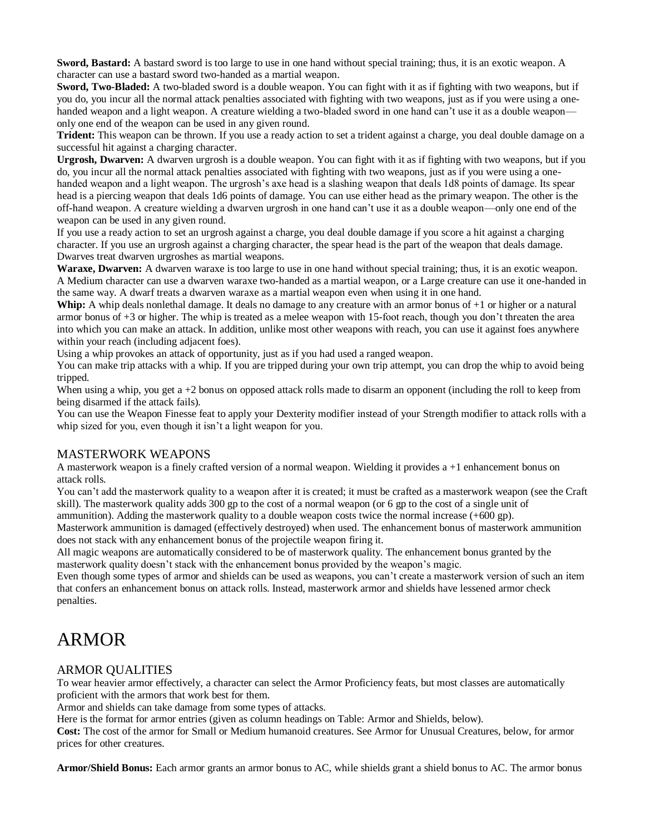**Sword, Bastard:** A bastard sword is too large to use in one hand without special training; thus, it is an exotic weapon. A character can use a bastard sword two-handed as a martial weapon.

**Sword, Two-Bladed:** A two-bladed sword is a double weapon. You can fight with it as if fighting with two weapons, but if you do, you incur all the normal attack penalties associated with fighting with two weapons, just as if you were using a onehanded weapon and a light weapon. A creature wielding a two-bladed sword in one hand can't use it as a double weapon only one end of the weapon can be used in any given round.

**Trident:** This weapon can be thrown. If you use a ready action to set a trident against a charge, you deal double damage on a successful hit against a charging character.

**Urgrosh, Dwarven:** A dwarven urgrosh is a double weapon. You can fight with it as if fighting with two weapons, but if you do, you incur all the normal attack penalties associated with fighting with two weapons, just as if you were using a onehanded weapon and a light weapon. The urgrosh's axe head is a slashing weapon that deals 1d8 points of damage. Its spear head is a piercing weapon that deals 1d6 points of damage. You can use either head as the primary weapon. The other is the off-hand weapon. A creature wielding a dwarven urgrosh in one hand can't use it as a double weapon—only one end of the weapon can be used in any given round.

If you use a ready action to set an urgrosh against a charge, you deal double damage if you score a hit against a charging character. If you use an urgrosh against a charging character, the spear head is the part of the weapon that deals damage. Dwarves treat dwarven urgroshes as martial weapons.

**Waraxe, Dwarven:** A dwarven waraxe is too large to use in one hand without special training; thus, it is an exotic weapon. A Medium character can use a dwarven waraxe two-handed as a martial weapon, or a Large creature can use it one-handed in the same way. A dwarf treats a dwarven waraxe as a martial weapon even when using it in one hand.

**Whip:** A whip deals nonlethal damage. It deals no damage to any creature with an armor bonus of +1 or higher or a natural armor bonus of +3 or higher. The whip is treated as a melee weapon with 15-foot reach, though you don't threaten the area into which you can make an attack. In addition, unlike most other weapons with reach, you can use it against foes anywhere within your reach (including adjacent foes).

Using a whip provokes an attack of opportunity, just as if you had used a ranged weapon.

You can make trip attacks with a whip. If you are tripped during your own trip attempt, you can drop the whip to avoid being tripped.

When using a whip, you get a +2 bonus on opposed attack rolls made to disarm an opponent (including the roll to keep from being disarmed if the attack fails).

You can use the Weapon Finesse feat to apply your Dexterity modifier instead of your Strength modifier to attack rolls with a whip sized for you, even though it isn't a light weapon for you.

### MASTERWORK WEAPONS

A masterwork weapon is a finely crafted version of a normal weapon. Wielding it provides a +1 enhancement bonus on attack rolls.

You can't add the masterwork quality to a weapon after it is created; it must be crafted as a masterwork weapon (see the Craft skill). The masterwork quality adds 300 gp to the cost of a normal weapon (or 6 gp to the cost of a single unit of ammunition). Adding the masterwork quality to a double weapon costs twice the normal increase (+600 gp).

Masterwork ammunition is damaged (effectively destroyed) when used. The enhancement bonus of masterwork ammunition does not stack with any enhancement bonus of the projectile weapon firing it.

All magic weapons are automatically considered to be of masterwork quality. The enhancement bonus granted by the masterwork quality doesn't stack with the enhancement bonus provided by the weapon's magic.

Even though some types of armor and shields can be used as weapons, you can't create a masterwork version of such an item that confers an enhancement bonus on attack rolls. Instead, masterwork armor and shields have lessened armor check penalties.

# ARMOR

# ARMOR QUALITIES

To wear heavier armor effectively, a character can select the Armor Proficiency feats, but most classes are automatically proficient with the armors that work best for them.

Armor and shields can take damage from some types of attacks.

Here is the format for armor entries (given as column headings on Table: Armor and Shields, below).

**Cost:** The cost of the armor for Small or Medium humanoid creatures. See Armor for Unusual Creatures, below, for armor prices for other creatures.

**Armor/Shield Bonus:** Each armor grants an armor bonus to AC, while shields grant a shield bonus to AC. The armor bonus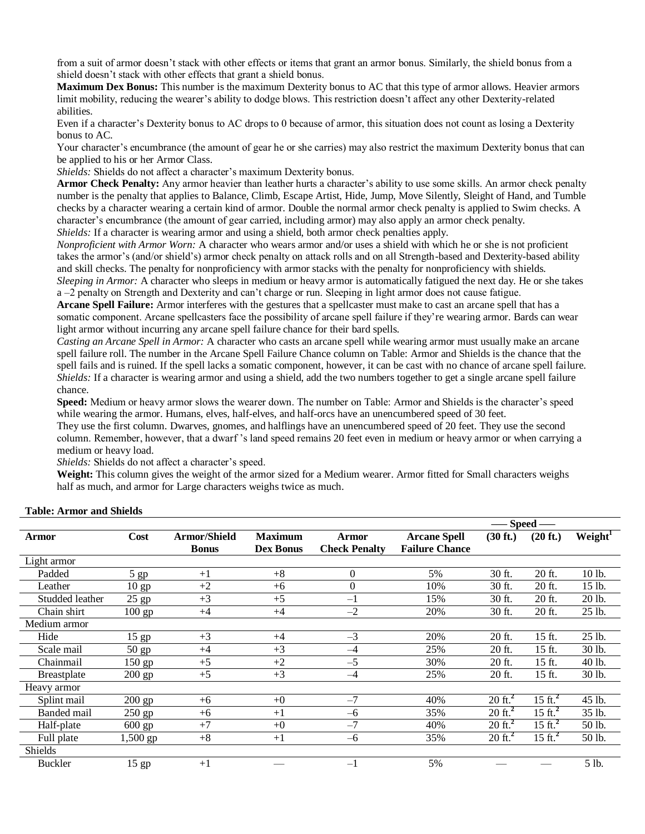from a suit of armor doesn't stack with other effects or items that grant an armor bonus. Similarly, the shield bonus from a shield doesn't stack with other effects that grant a shield bonus.

**Maximum Dex Bonus:** This number is the maximum Dexterity bonus to AC that this type of armor allows. Heavier armors limit mobility, reducing the wearer's ability to dodge blows. This restriction doesn't affect any other Dexterity-related abilities.

Even if a character's Dexterity bonus to AC drops to 0 because of armor, this situation does not count as losing a Dexterity bonus to AC.

Your character's encumbrance (the amount of gear he or she carries) may also restrict the maximum Dexterity bonus that can be applied to his or her Armor Class.

*Shields:* Shields do not affect a character's maximum Dexterity bonus.

**Armor Check Penalty:** Any armor heavier than leather hurts a character's ability to use some skills. An armor check penalty number is the penalty that applies to Balance, Climb, Escape Artist, Hide, Jump, Move Silently, Sleight of Hand, and Tumble checks by a character wearing a certain kind of armor. Double the normal armor check penalty is applied to Swim checks. A character's encumbrance (the amount of gear carried, including armor) may also apply an armor check penalty.

*Shields:* If a character is wearing armor and using a shield, both armor check penalties apply.

*Nonproficient with Armor Worn:* A character who wears armor and/or uses a shield with which he or she is not proficient takes the armor's (and/or shield's) armor check penalty on attack rolls and on all Strength-based and Dexterity-based ability and skill checks. The penalty for nonproficiency with armor stacks with the penalty for nonproficiency with shields. *Sleeping in Armor:* A character who sleeps in medium or heavy armor is automatically fatigued the next day. He or she takes a –2 penalty on Strength and Dexterity and can't charge or run. Sleeping in light armor does not cause fatigue.

**Arcane Spell Failure:** Armor interferes with the gestures that a spellcaster must make to cast an arcane spell that has a somatic component. Arcane spellcasters face the possibility of arcane spell failure if they're wearing armor. Bards can wear light armor without incurring any arcane spell failure chance for their bard spells.

*Casting an Arcane Spell in Armor:* A character who casts an arcane spell while wearing armor must usually make an arcane spell failure roll. The number in the Arcane Spell Failure Chance column on Table: Armor and Shields is the chance that the spell fails and is ruined. If the spell lacks a somatic component, however, it can be cast with no chance of arcane spell failure. *Shields:* If a character is wearing armor and using a shield, add the two numbers together to get a single arcane spell failure chance.

**Speed:** Medium or heavy armor slows the wearer down. The number on Table: Armor and Shields is the character's speed while wearing the armor. Humans, elves, half-elves, and half-orcs have an unencumbered speed of 30 feet.

They use the first column. Dwarves, gnomes, and halflings have an unencumbered speed of 20 feet. They use the second column. Remember, however, that a dwarf 's land speed remains 20 feet even in medium or heavy armor or when carrying a medium or heavy load.

*Shields:* Shields do not affect a character's speed.

**Weight:** This column gives the weight of the armor sized for a Medium wearer. Armor fitted for Small characters weighs half as much, and armor for Large characters weighs twice as much.

|                    |                  |              |                  |                      |                       |                    | $Speed$ —          |                     |
|--------------------|------------------|--------------|------------------|----------------------|-----------------------|--------------------|--------------------|---------------------|
| Armor              | Cost             | Armor/Shield | <b>Maximum</b>   | Armor                | <b>Arcane Spell</b>   | (30 ft.)           | (20 ft.)           | Weight <sup>1</sup> |
|                    |                  | <b>Bonus</b> | <b>Dex Bonus</b> | <b>Check Penalty</b> | <b>Failure Chance</b> |                    |                    |                     |
| Light armor        |                  |              |                  |                      |                       |                    |                    |                     |
| Padded             | 5 <sub>gp</sub>  | $+1$         | $+8$             | $\theta$             | 5%                    | 30 ft.             | 20 ft.             | 10 lb.              |
| Leather            | 10 <sub>gp</sub> | $+2$         | $+6$             | $\theta$             | 10%                   | 30 ft.             | 20 ft.             | 15 lb.              |
| Studded leather    | $25$ gp          | $+3$         | $+5$             | $-1$                 | 15%                   | 30 ft.             | 20 ft.             | 20 lb.              |
| Chain shirt        | $100$ gp         | $+4$         | $+4$             | $-2$                 | 20%                   | 30 ft.             | 20 ft.             | 25 lb.              |
| Medium armor       |                  |              |                  |                      |                       |                    |                    |                     |
| Hide               | $15$ gp          | $+3$         | $+4$             | $-3$                 | 20%                   | 20 ft.             | 15 ft.             | 25 lb.              |
| Scale mail         | $50$ gp          | $+4$         | $+3$             | $-4$                 | 25%                   | 20 ft.             | 15 ft.             | 30 lb.              |
| Chainmail          | $150$ gp         | $+5$         | $+2$             | $-5$                 | 30%                   | 20 ft.             | 15 ft.             | 40 lb.              |
| <b>Breastplate</b> | $200$ gp         | $+5$         | $+3$             | $-4$                 | 25%                   | 20 ft.             | 15 ft.             | 30 lb.              |
| Heavy armor        |                  |              |                  |                      |                       |                    |                    |                     |
| Splint mail        | 200 gp           | $+6$         | $+0$             | $-7$                 | 40%                   | $20 \text{ ft}^2$  | $15 \text{ ft.}^2$ | 45 lb.              |
| Banded mail        | 250 gp           | $+6$         | $+1$             | $-6$                 | 35%                   | $20 \text{ ft}^2$  | $15 \text{ ft.}^2$ | 35 lb.              |
| Half-plate         | 600 gp           | $+7$         | $+0$             | $-7$                 | 40%                   | $20 \text{ ft.}^2$ | $15 \text{ ft}^2$  | 50 lb.              |
| Full plate         | $1,500$ gp       | $+8$         | $+1$             | $-6$                 | 35%                   | $20 \text{ ft.}^2$ | $15 \text{ ft.}^2$ | 50 lb.              |
| Shields            |                  |              |                  |                      |                       |                    |                    |                     |
| <b>Buckler</b>     | $15$ gp          | $+1$         |                  | $-1$                 | 5%                    |                    |                    | 5 lb.               |

#### **Table: Armor and Shields**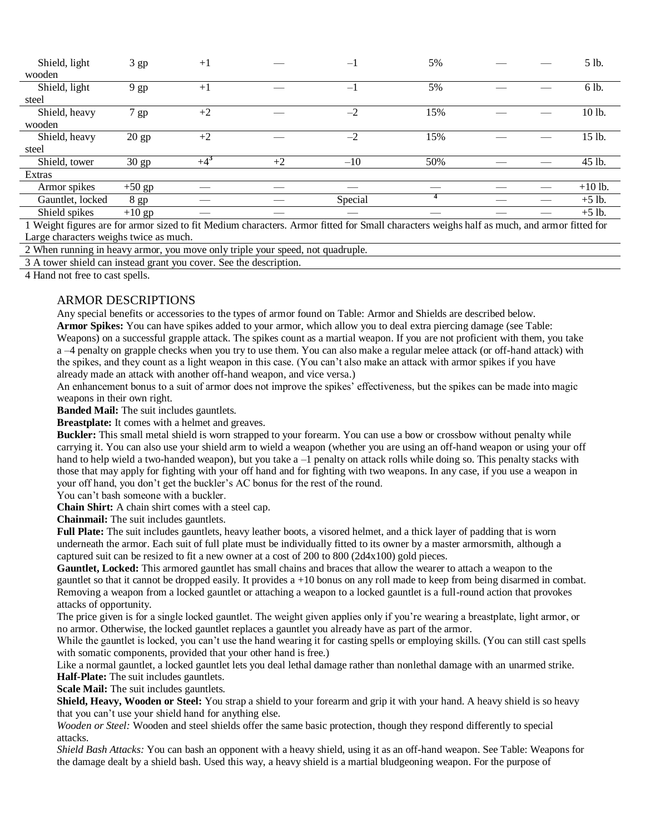| Shield, light<br>wooden | 3 gp            | $+1$     |      | $-1$    | 5%  |  | 5 lb.     |
|-------------------------|-----------------|----------|------|---------|-----|--|-----------|
| Shield, light           | 9 <sub>gp</sub> | $+1$     |      | $-1$    | 5%  |  | 6 lb.     |
| steel                   |                 |          |      |         |     |  |           |
| Shield, heavy           | 7 gp            | $+2$     |      | $-2$    | 15% |  | 10 lb.    |
| wooden                  |                 |          |      |         |     |  |           |
| Shield, heavy           | $20$ gp         | $+2$     |      | $-2$    | 15% |  | 15 lb.    |
| steel                   |                 |          |      |         |     |  |           |
| Shield, tower           | 30 gp           | $+4^{3}$ | $+2$ | $-10$   | 50% |  | 45 lb.    |
| Extras                  |                 |          |      |         |     |  |           |
| Armor spikes            | $+50$ gp        |          |      |         |     |  | $+10$ lb. |
| Gauntlet, locked        | 8 gp            |          |      | Special |     |  | $+5$ lb.  |
| Shield spikes           | $+10$ gp        |          |      |         |     |  | $+5$ lb.  |
|                         |                 |          |      |         |     |  |           |

1 Weight figures are for armor sized to fit Medium characters. Armor fitted for Small characters weighs half as much, and armor fitted for Large characters weighs twice as much.

2 When running in heavy armor, you move only triple your speed, not quadruple.

3 A tower shield can instead grant you cover. See the description.

4 Hand not free to cast spells.

### ARMOR DESCRIPTIONS

Any special benefits or accessories to the types of armor found on Table: Armor and Shields are described below. **Armor Spikes:** You can have spikes added to your armor, which allow you to deal extra piercing damage (see Table: Weapons) on a successful grapple attack. The spikes count as a martial weapon. If you are not proficient with them, you take a –4 penalty on grapple checks when you try to use them. You can also make a regular melee attack (or off-hand attack) with the spikes, and they count as a light weapon in this case. (You can't also make an attack with armor spikes if you have already made an attack with another off-hand weapon, and vice versa.)

An enhancement bonus to a suit of armor does not improve the spikes' effectiveness, but the spikes can be made into magic weapons in their own right.

**Banded Mail:** The suit includes gauntlets.

**Breastplate:** It comes with a helmet and greaves.

**Buckler:** This small metal shield is worn strapped to your forearm. You can use a bow or crossbow without penalty while carrying it. You can also use your shield arm to wield a weapon (whether you are using an off-hand weapon or using your off hand to help wield a two-handed weapon), but you take a -1 penalty on attack rolls while doing so. This penalty stacks with those that may apply for fighting with your off hand and for fighting with two weapons. In any case, if you use a weapon in your off hand, you don't get the buckler's AC bonus for the rest of the round.

You can't bash someone with a buckler.

**Chain Shirt:** A chain shirt comes with a steel cap.

**Chainmail:** The suit includes gauntlets.

**Full Plate:** The suit includes gauntlets, heavy leather boots, a visored helmet, and a thick layer of padding that is worn underneath the armor. Each suit of full plate must be individually fitted to its owner by a master armorsmith, although a captured suit can be resized to fit a new owner at a cost of 200 to 800 (2d4x100) gold pieces.

**Gauntlet, Locked:** This armored gauntlet has small chains and braces that allow the wearer to attach a weapon to the gauntlet so that it cannot be dropped easily. It provides a +10 bonus on any roll made to keep from being disarmed in combat. Removing a weapon from a locked gauntlet or attaching a weapon to a locked gauntlet is a full-round action that provokes attacks of opportunity.

The price given is for a single locked gauntlet. The weight given applies only if you're wearing a breastplate, light armor, or no armor. Otherwise, the locked gauntlet replaces a gauntlet you already have as part of the armor.

While the gauntlet is locked, you can't use the hand wearing it for casting spells or employing skills. (You can still cast spells with somatic components, provided that your other hand is free.)

Like a normal gauntlet, a locked gauntlet lets you deal lethal damage rather than nonlethal damage with an unarmed strike. **Half-Plate:** The suit includes gauntlets.

**Scale Mail:** The suit includes gauntlets.

**Shield, Heavy, Wooden or Steel:** You strap a shield to your forearm and grip it with your hand. A heavy shield is so heavy that you can't use your shield hand for anything else.

*Wooden or Steel:* Wooden and steel shields offer the same basic protection, though they respond differently to special attacks.

*Shield Bash Attacks:* You can bash an opponent with a heavy shield, using it as an off-hand weapon. See Table: Weapons for the damage dealt by a shield bash. Used this way, a heavy shield is a martial bludgeoning weapon. For the purpose of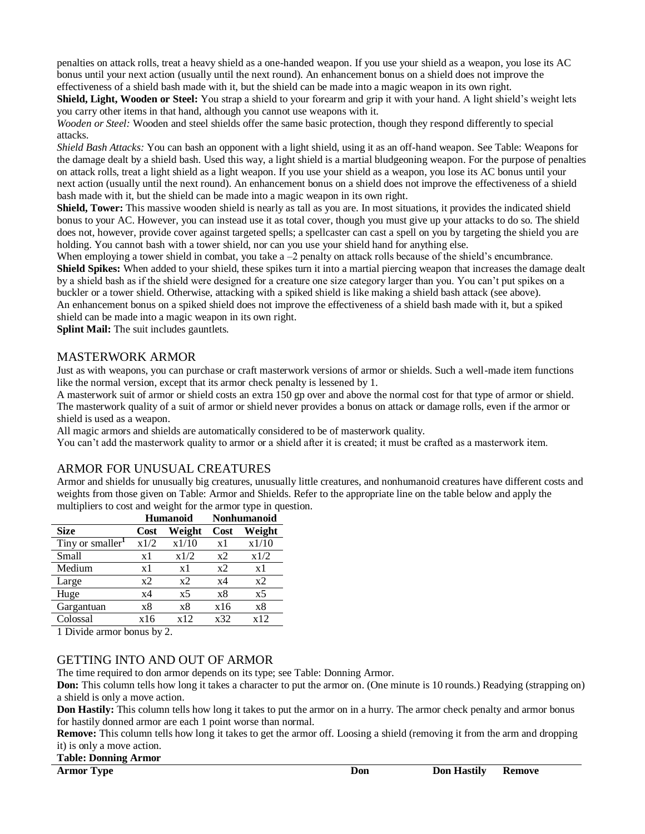penalties on attack rolls, treat a heavy shield as a one-handed weapon. If you use your shield as a weapon, you lose its AC bonus until your next action (usually until the next round). An enhancement bonus on a shield does not improve the effectiveness of a shield bash made with it, but the shield can be made into a magic weapon in its own right.

**Shield, Light, Wooden or Steel:** You strap a shield to your forearm and grip it with your hand. A light shield's weight lets you carry other items in that hand, although you cannot use weapons with it.

*Wooden or Steel:* Wooden and steel shields offer the same basic protection, though they respond differently to special attacks.

*Shield Bash Attacks:* You can bash an opponent with a light shield, using it as an off-hand weapon. See Table: Weapons for the damage dealt by a shield bash. Used this way, a light shield is a martial bludgeoning weapon. For the purpose of penalties on attack rolls, treat a light shield as a light weapon. If you use your shield as a weapon, you lose its AC bonus until your next action (usually until the next round). An enhancement bonus on a shield does not improve the effectiveness of a shield bash made with it, but the shield can be made into a magic weapon in its own right.

**Shield, Tower:** This massive wooden shield is nearly as tall as you are. In most situations, it provides the indicated shield bonus to your AC. However, you can instead use it as total cover, though you must give up your attacks to do so. The shield does not, however, provide cover against targeted spells; a spellcaster can cast a spell on you by targeting the shield you are holding. You cannot bash with a tower shield, nor can you use your shield hand for anything else.

When employing a tower shield in combat, you take  $a - 2$  penalty on attack rolls because of the shield's encumbrance. **Shield Spikes:** When added to your shield, these spikes turn it into a martial piercing weapon that increases the damage dealt by a shield bash as if the shield were designed for a creature one size category larger than you. You can't put spikes on a buckler or a tower shield. Otherwise, attacking with a spiked shield is like making a shield bash attack (see above). An enhancement bonus on a spiked shield does not improve the effectiveness of a shield bash made with it, but a spiked shield can be made into a magic weapon in its own right.

**Splint Mail:** The suit includes gauntlets.

# MASTERWORK ARMOR

Just as with weapons, you can purchase or craft masterwork versions of armor or shields. Such a well-made item functions like the normal version, except that its armor check penalty is lessened by 1.

A masterwork suit of armor or shield costs an extra 150 gp over and above the normal cost for that type of armor or shield. The masterwork quality of a suit of armor or shield never provides a bonus on attack or damage rolls, even if the armor or shield is used as a weapon.

All magic armors and shields are automatically considered to be of masterwork quality.

You can't add the masterwork quality to armor or a shield after it is created; it must be crafted as a masterwork item.

# ARMOR FOR UNUSUAL CREATURES

Armor and shields for unusually big creatures, unusually little creatures, and nonhumanoid creatures have different costs and weights from those given on Table: Armor and Shields. Refer to the appropriate line on the table below and apply the multipliers to cost and weight for the armor type in question.

|                              | <b>Humanoid</b> |                |             | <b>Nonhumanoid</b> |
|------------------------------|-----------------|----------------|-------------|--------------------|
| <b>Size</b>                  | <b>Cost</b>     | Weight         | <b>Cost</b> | Weight             |
| Tiny or smaller <sup>1</sup> | x1/2            | x1/10          | x1          | x1/10              |
| Small                        | x1              | x1/2           | x2          | x1/2               |
| Medium                       | x1              | x1             | x2          | x1                 |
| Large                        | x2              | x2             | x4          | x2                 |
| Huge                         | x4              | x <sub>5</sub> | x8          | x <sub>5</sub>     |
| Gargantuan                   | х8              | x8             | x16         | x8                 |
| Colossal                     | x16             | x12            | x32         | x12                |

1 Divide armor bonus by 2.

# GETTING INTO AND OUT OF ARMOR

The time required to don armor depends on its type; see Table: Donning Armor.

**Don:** This column tells how long it takes a character to put the armor on. (One minute is 10 rounds.) Readying (strapping on) a shield is only a move action.

**Don Hastily:** This column tells how long it takes to put the armor on in a hurry. The armor check penalty and armor bonus for hastily donned armor are each 1 point worse than normal.

**Remove:** This column tells how long it takes to get the armor off. Loosing a shield (removing it from the arm and dropping it) is only a move action.

**Table: Donning Armor**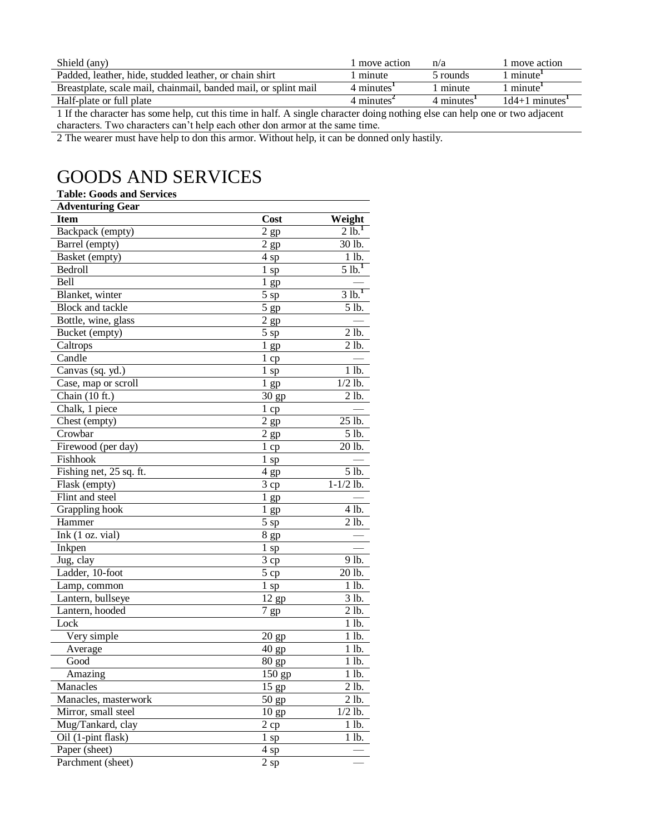| Shield (any)                                                    | move action            | n/a                    | l move action                |
|-----------------------------------------------------------------|------------------------|------------------------|------------------------------|
| Padded, leather, hide, studded leather, or chain shirt          | minute                 | 5 rounds               | minute                       |
| Breastplate, scale mail, chainmail, banded mail, or splint mail | 4 minutes <sup>1</sup> | minute                 | minute                       |
| Half-plate or full plate                                        | 4 minutes <sup>2</sup> | 4 minutes <sup>1</sup> | $1d4+1$ minutes <sup>1</sup> |

1 If the character has some help, cut this time in half. A single character doing nothing else can help one or two adjacent characters. Two characters can't help each other don armor at the same time.

2 The wearer must have help to don this armor. Without help, it can be donned only hastily.

# GOODS AND SERVICES

# **Table: Goods and Services**

| Cost<br>Weight<br>Item<br>2 lb <sup>1</sup><br>Backpack (empty)<br>$\overline{2}$ gp<br>Barrel (empty)<br>$2$ gp<br>30 lb.<br>Basket (empty)<br>$\overline{4}$ sp<br>1 lb.<br>5 lb <sup>1</sup><br>Bedroll<br>$1$ sp<br>Bell<br>$1_{g\underline{p}}$<br>3 lb <sup>1</sup><br>$\overline{5}$ sp<br>Blanket, winter<br>$\overline{5}$ gp<br>$\overline{5}$ lb.<br>Block and tackle<br>$\overline{2}$ gp<br>Bottle, wine, glass<br>$\overline{5}$ sp<br>2 lb.<br>Bucket (empty)<br>$\overline{2}$ lb.<br>$1_{g}p$<br>Caltrops<br>Candle<br>1 cp<br>1 lb.<br>$1$ sp<br>Canvas (sq. yd.)<br>$1/2$ lb.<br>1 <sub>gp</sub><br>Case, map or scroll<br>2 lb.<br>Chain (10 ft.)<br>30 gp<br>Chalk, 1 piece<br>1 cp<br>25 lb.<br>Chest (empty)<br>$2$ gp<br>$\overline{2}$ gp<br>5 lb.<br>Crowbar<br>1 cp<br>20 lb.<br>Firewood (per day)<br>Fishhook<br>$1$ sp<br>Fishing net, 25 sq. ft.<br>5 lb.<br>4 gp<br>$1 - 1/2$ lb.<br>3cp<br>Flask (empty)<br>Flint and steel<br>1 <sub>gp</sub><br>4 lb.<br>1 <sub>gp</sub><br>Grappling hook<br>$\overline{5}$ sp<br>2 lb.<br>Hammer<br>8 <sub>gp</sub><br>Ink $(1 \text{ oz. } \text{vial})$<br>$1$ sp<br>Inkpen<br>$\overline{3}$ cp<br>Jug, clay<br>9 lb.<br>$\overline{5}$ cp<br>$\overline{2}0$ lb.<br>Ladder, 10-foot<br>$1$ sp<br>1 lb.<br>Lamp, common<br>$\overline{3}$ lb.<br>Lantern, bullseye<br>$12$ gp<br>$\overline{2}$ lb.<br>Lantern, hooded<br>7 <sub>gp</sub><br>$\overline{1}$ lb.<br>Lock<br>1 lb.<br>Very simple<br>$20$ gp<br>$\overline{1}$ lb.<br>40 gp<br>Average<br>1 lb.<br>80 <sub>gp</sub><br>Good<br>$1$ lb.<br>$\overline{150}$ gp<br>Amazing<br>2 lb.<br>15 gp<br>Manacles<br>$\overline{2}$ lb.<br>50 gp<br>Manacles, masterwork<br>$1/2$ lb.<br>Mirror, small steel<br>$10$ gp<br>Mug/Tankard, clay<br>1 lb.<br>$2$ cp<br>Oil (1-pint flask)<br>1 lb.<br>$1$ sp<br>Paper (sheet)<br>4 sp | <b>Adventuring Gear</b> |        |  |
|--------------------------------------------------------------------------------------------------------------------------------------------------------------------------------------------------------------------------------------------------------------------------------------------------------------------------------------------------------------------------------------------------------------------------------------------------------------------------------------------------------------------------------------------------------------------------------------------------------------------------------------------------------------------------------------------------------------------------------------------------------------------------------------------------------------------------------------------------------------------------------------------------------------------------------------------------------------------------------------------------------------------------------------------------------------------------------------------------------------------------------------------------------------------------------------------------------------------------------------------------------------------------------------------------------------------------------------------------------------------------------------------------------------------------------------------------------------------------------------------------------------------------------------------------------------------------------------------------------------------------------------------------------------------------------------------------------------------------------------------------------------------------------------------------------------------------------------------------------------|-------------------------|--------|--|
|                                                                                                                                                                                                                                                                                                                                                                                                                                                                                                                                                                                                                                                                                                                                                                                                                                                                                                                                                                                                                                                                                                                                                                                                                                                                                                                                                                                                                                                                                                                                                                                                                                                                                                                                                                                                                                                              |                         |        |  |
|                                                                                                                                                                                                                                                                                                                                                                                                                                                                                                                                                                                                                                                                                                                                                                                                                                                                                                                                                                                                                                                                                                                                                                                                                                                                                                                                                                                                                                                                                                                                                                                                                                                                                                                                                                                                                                                              |                         |        |  |
|                                                                                                                                                                                                                                                                                                                                                                                                                                                                                                                                                                                                                                                                                                                                                                                                                                                                                                                                                                                                                                                                                                                                                                                                                                                                                                                                                                                                                                                                                                                                                                                                                                                                                                                                                                                                                                                              |                         |        |  |
|                                                                                                                                                                                                                                                                                                                                                                                                                                                                                                                                                                                                                                                                                                                                                                                                                                                                                                                                                                                                                                                                                                                                                                                                                                                                                                                                                                                                                                                                                                                                                                                                                                                                                                                                                                                                                                                              |                         |        |  |
|                                                                                                                                                                                                                                                                                                                                                                                                                                                                                                                                                                                                                                                                                                                                                                                                                                                                                                                                                                                                                                                                                                                                                                                                                                                                                                                                                                                                                                                                                                                                                                                                                                                                                                                                                                                                                                                              |                         |        |  |
|                                                                                                                                                                                                                                                                                                                                                                                                                                                                                                                                                                                                                                                                                                                                                                                                                                                                                                                                                                                                                                                                                                                                                                                                                                                                                                                                                                                                                                                                                                                                                                                                                                                                                                                                                                                                                                                              |                         |        |  |
|                                                                                                                                                                                                                                                                                                                                                                                                                                                                                                                                                                                                                                                                                                                                                                                                                                                                                                                                                                                                                                                                                                                                                                                                                                                                                                                                                                                                                                                                                                                                                                                                                                                                                                                                                                                                                                                              |                         |        |  |
|                                                                                                                                                                                                                                                                                                                                                                                                                                                                                                                                                                                                                                                                                                                                                                                                                                                                                                                                                                                                                                                                                                                                                                                                                                                                                                                                                                                                                                                                                                                                                                                                                                                                                                                                                                                                                                                              |                         |        |  |
|                                                                                                                                                                                                                                                                                                                                                                                                                                                                                                                                                                                                                                                                                                                                                                                                                                                                                                                                                                                                                                                                                                                                                                                                                                                                                                                                                                                                                                                                                                                                                                                                                                                                                                                                                                                                                                                              |                         |        |  |
|                                                                                                                                                                                                                                                                                                                                                                                                                                                                                                                                                                                                                                                                                                                                                                                                                                                                                                                                                                                                                                                                                                                                                                                                                                                                                                                                                                                                                                                                                                                                                                                                                                                                                                                                                                                                                                                              |                         |        |  |
|                                                                                                                                                                                                                                                                                                                                                                                                                                                                                                                                                                                                                                                                                                                                                                                                                                                                                                                                                                                                                                                                                                                                                                                                                                                                                                                                                                                                                                                                                                                                                                                                                                                                                                                                                                                                                                                              |                         |        |  |
|                                                                                                                                                                                                                                                                                                                                                                                                                                                                                                                                                                                                                                                                                                                                                                                                                                                                                                                                                                                                                                                                                                                                                                                                                                                                                                                                                                                                                                                                                                                                                                                                                                                                                                                                                                                                                                                              |                         |        |  |
|                                                                                                                                                                                                                                                                                                                                                                                                                                                                                                                                                                                                                                                                                                                                                                                                                                                                                                                                                                                                                                                                                                                                                                                                                                                                                                                                                                                                                                                                                                                                                                                                                                                                                                                                                                                                                                                              |                         |        |  |
|                                                                                                                                                                                                                                                                                                                                                                                                                                                                                                                                                                                                                                                                                                                                                                                                                                                                                                                                                                                                                                                                                                                                                                                                                                                                                                                                                                                                                                                                                                                                                                                                                                                                                                                                                                                                                                                              |                         |        |  |
|                                                                                                                                                                                                                                                                                                                                                                                                                                                                                                                                                                                                                                                                                                                                                                                                                                                                                                                                                                                                                                                                                                                                                                                                                                                                                                                                                                                                                                                                                                                                                                                                                                                                                                                                                                                                                                                              |                         |        |  |
|                                                                                                                                                                                                                                                                                                                                                                                                                                                                                                                                                                                                                                                                                                                                                                                                                                                                                                                                                                                                                                                                                                                                                                                                                                                                                                                                                                                                                                                                                                                                                                                                                                                                                                                                                                                                                                                              |                         |        |  |
|                                                                                                                                                                                                                                                                                                                                                                                                                                                                                                                                                                                                                                                                                                                                                                                                                                                                                                                                                                                                                                                                                                                                                                                                                                                                                                                                                                                                                                                                                                                                                                                                                                                                                                                                                                                                                                                              |                         |        |  |
|                                                                                                                                                                                                                                                                                                                                                                                                                                                                                                                                                                                                                                                                                                                                                                                                                                                                                                                                                                                                                                                                                                                                                                                                                                                                                                                                                                                                                                                                                                                                                                                                                                                                                                                                                                                                                                                              |                         |        |  |
|                                                                                                                                                                                                                                                                                                                                                                                                                                                                                                                                                                                                                                                                                                                                                                                                                                                                                                                                                                                                                                                                                                                                                                                                                                                                                                                                                                                                                                                                                                                                                                                                                                                                                                                                                                                                                                                              |                         |        |  |
|                                                                                                                                                                                                                                                                                                                                                                                                                                                                                                                                                                                                                                                                                                                                                                                                                                                                                                                                                                                                                                                                                                                                                                                                                                                                                                                                                                                                                                                                                                                                                                                                                                                                                                                                                                                                                                                              |                         |        |  |
|                                                                                                                                                                                                                                                                                                                                                                                                                                                                                                                                                                                                                                                                                                                                                                                                                                                                                                                                                                                                                                                                                                                                                                                                                                                                                                                                                                                                                                                                                                                                                                                                                                                                                                                                                                                                                                                              |                         |        |  |
|                                                                                                                                                                                                                                                                                                                                                                                                                                                                                                                                                                                                                                                                                                                                                                                                                                                                                                                                                                                                                                                                                                                                                                                                                                                                                                                                                                                                                                                                                                                                                                                                                                                                                                                                                                                                                                                              |                         |        |  |
|                                                                                                                                                                                                                                                                                                                                                                                                                                                                                                                                                                                                                                                                                                                                                                                                                                                                                                                                                                                                                                                                                                                                                                                                                                                                                                                                                                                                                                                                                                                                                                                                                                                                                                                                                                                                                                                              |                         |        |  |
|                                                                                                                                                                                                                                                                                                                                                                                                                                                                                                                                                                                                                                                                                                                                                                                                                                                                                                                                                                                                                                                                                                                                                                                                                                                                                                                                                                                                                                                                                                                                                                                                                                                                                                                                                                                                                                                              |                         |        |  |
|                                                                                                                                                                                                                                                                                                                                                                                                                                                                                                                                                                                                                                                                                                                                                                                                                                                                                                                                                                                                                                                                                                                                                                                                                                                                                                                                                                                                                                                                                                                                                                                                                                                                                                                                                                                                                                                              |                         |        |  |
|                                                                                                                                                                                                                                                                                                                                                                                                                                                                                                                                                                                                                                                                                                                                                                                                                                                                                                                                                                                                                                                                                                                                                                                                                                                                                                                                                                                                                                                                                                                                                                                                                                                                                                                                                                                                                                                              |                         |        |  |
|                                                                                                                                                                                                                                                                                                                                                                                                                                                                                                                                                                                                                                                                                                                                                                                                                                                                                                                                                                                                                                                                                                                                                                                                                                                                                                                                                                                                                                                                                                                                                                                                                                                                                                                                                                                                                                                              |                         |        |  |
|                                                                                                                                                                                                                                                                                                                                                                                                                                                                                                                                                                                                                                                                                                                                                                                                                                                                                                                                                                                                                                                                                                                                                                                                                                                                                                                                                                                                                                                                                                                                                                                                                                                                                                                                                                                                                                                              |                         |        |  |
|                                                                                                                                                                                                                                                                                                                                                                                                                                                                                                                                                                                                                                                                                                                                                                                                                                                                                                                                                                                                                                                                                                                                                                                                                                                                                                                                                                                                                                                                                                                                                                                                                                                                                                                                                                                                                                                              |                         |        |  |
|                                                                                                                                                                                                                                                                                                                                                                                                                                                                                                                                                                                                                                                                                                                                                                                                                                                                                                                                                                                                                                                                                                                                                                                                                                                                                                                                                                                                                                                                                                                                                                                                                                                                                                                                                                                                                                                              |                         |        |  |
|                                                                                                                                                                                                                                                                                                                                                                                                                                                                                                                                                                                                                                                                                                                                                                                                                                                                                                                                                                                                                                                                                                                                                                                                                                                                                                                                                                                                                                                                                                                                                                                                                                                                                                                                                                                                                                                              |                         |        |  |
|                                                                                                                                                                                                                                                                                                                                                                                                                                                                                                                                                                                                                                                                                                                                                                                                                                                                                                                                                                                                                                                                                                                                                                                                                                                                                                                                                                                                                                                                                                                                                                                                                                                                                                                                                                                                                                                              |                         |        |  |
|                                                                                                                                                                                                                                                                                                                                                                                                                                                                                                                                                                                                                                                                                                                                                                                                                                                                                                                                                                                                                                                                                                                                                                                                                                                                                                                                                                                                                                                                                                                                                                                                                                                                                                                                                                                                                                                              |                         |        |  |
|                                                                                                                                                                                                                                                                                                                                                                                                                                                                                                                                                                                                                                                                                                                                                                                                                                                                                                                                                                                                                                                                                                                                                                                                                                                                                                                                                                                                                                                                                                                                                                                                                                                                                                                                                                                                                                                              |                         |        |  |
|                                                                                                                                                                                                                                                                                                                                                                                                                                                                                                                                                                                                                                                                                                                                                                                                                                                                                                                                                                                                                                                                                                                                                                                                                                                                                                                                                                                                                                                                                                                                                                                                                                                                                                                                                                                                                                                              |                         |        |  |
|                                                                                                                                                                                                                                                                                                                                                                                                                                                                                                                                                                                                                                                                                                                                                                                                                                                                                                                                                                                                                                                                                                                                                                                                                                                                                                                                                                                                                                                                                                                                                                                                                                                                                                                                                                                                                                                              |                         |        |  |
|                                                                                                                                                                                                                                                                                                                                                                                                                                                                                                                                                                                                                                                                                                                                                                                                                                                                                                                                                                                                                                                                                                                                                                                                                                                                                                                                                                                                                                                                                                                                                                                                                                                                                                                                                                                                                                                              |                         |        |  |
|                                                                                                                                                                                                                                                                                                                                                                                                                                                                                                                                                                                                                                                                                                                                                                                                                                                                                                                                                                                                                                                                                                                                                                                                                                                                                                                                                                                                                                                                                                                                                                                                                                                                                                                                                                                                                                                              |                         |        |  |
|                                                                                                                                                                                                                                                                                                                                                                                                                                                                                                                                                                                                                                                                                                                                                                                                                                                                                                                                                                                                                                                                                                                                                                                                                                                                                                                                                                                                                                                                                                                                                                                                                                                                                                                                                                                                                                                              |                         |        |  |
|                                                                                                                                                                                                                                                                                                                                                                                                                                                                                                                                                                                                                                                                                                                                                                                                                                                                                                                                                                                                                                                                                                                                                                                                                                                                                                                                                                                                                                                                                                                                                                                                                                                                                                                                                                                                                                                              |                         |        |  |
|                                                                                                                                                                                                                                                                                                                                                                                                                                                                                                                                                                                                                                                                                                                                                                                                                                                                                                                                                                                                                                                                                                                                                                                                                                                                                                                                                                                                                                                                                                                                                                                                                                                                                                                                                                                                                                                              |                         |        |  |
|                                                                                                                                                                                                                                                                                                                                                                                                                                                                                                                                                                                                                                                                                                                                                                                                                                                                                                                                                                                                                                                                                                                                                                                                                                                                                                                                                                                                                                                                                                                                                                                                                                                                                                                                                                                                                                                              |                         |        |  |
|                                                                                                                                                                                                                                                                                                                                                                                                                                                                                                                                                                                                                                                                                                                                                                                                                                                                                                                                                                                                                                                                                                                                                                                                                                                                                                                                                                                                                                                                                                                                                                                                                                                                                                                                                                                                                                                              |                         |        |  |
|                                                                                                                                                                                                                                                                                                                                                                                                                                                                                                                                                                                                                                                                                                                                                                                                                                                                                                                                                                                                                                                                                                                                                                                                                                                                                                                                                                                                                                                                                                                                                                                                                                                                                                                                                                                                                                                              | Parchment (sheet)       | $2$ sp |  |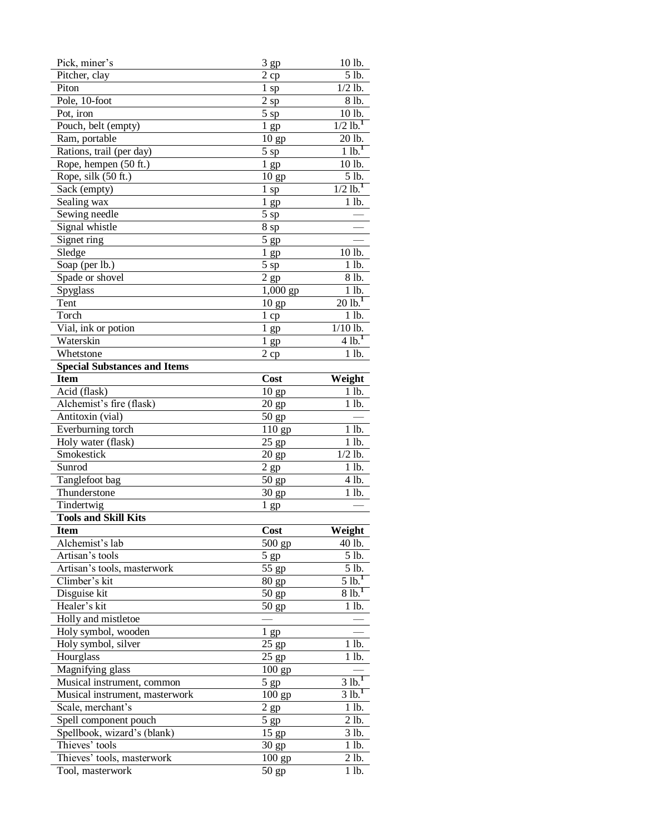| Pick, miner's                       | 3 <sub>gp</sub>   | 10 lb.                            |
|-------------------------------------|-------------------|-----------------------------------|
| Pitcher, clay                       | 2cp               | 5 lb.                             |
| Piton                               | $1$ sp            | $1/2$ lb.                         |
| Pole, 10-foot                       | $2$ sp            | 8 lb.                             |
| Pot, iron                           | 5 sp              | 10 lb.                            |
| Pouch, belt (empty)                 | $1$ gp            | $1/2 \overline{1}b.$ <sup>1</sup> |
| Ram, portable                       | 10 gp             | 20 lb.                            |
| Rations, trail (per day)            | $5$ sp            | 1 lb. <sup>1</sup>                |
| Rope, hempen (50 ft.)               | $1$ gp            | 10 lb.                            |
| Rope, silk (50 ft.)                 | 10 gp             | 5 lb.                             |
| Sack (empty)                        | $1$ sp            | $1/2$ lb. <sup>1</sup>            |
| Sealing wax                         | $1$ gp            | 1 lb.                             |
| Sewing needle                       | $\overline{5}$ sp |                                   |
| Signal whistle                      | $8$ sp            |                                   |
| Signet ring                         | $5$ gp            |                                   |
| Sledge                              | $1_{g}p$          | 10 lb.                            |
| $\overline{Soap}$ (per lb.)         | $5$ sp            | 1 lb.                             |
| Spade or shovel                     | $2$ gp            | $\overline{8}$ lb.                |
| Spyglass                            | $1,000$ gp        | 1 lb.                             |
| Tent                                | 10 <sub>gp</sub>  | $20 \overline{1}$ b. <sup>1</sup> |
| Torch                               | 1 cp              | 1 lb.                             |
| Vial, ink or potion                 | $1$ gp            | $\overline{1/10}$ lb.             |
| Waterskin                           | $1$ gp            | $4 \overline{1}b$ <sup>1</sup>    |
| Whetstone                           | 2cp               | 1 lb.                             |
| <b>Special Substances and Items</b> |                   |                                   |
| <b>Item</b>                         | Cost              | Weight                            |
| Acid (flask)                        | 10 <sub>gp</sub>  | 1 lb.                             |
| Alchemist's fire (flask)            | 20 gp             | 1 lb.                             |
| Antitoxin (vial)                    | 50 gp             |                                   |
| Everburning torch                   | 110 gp            | 1 lb.                             |
| Holy water (flask)                  | 25 gp             | $\overline{1}$ lb.                |
| Smokestick                          | 20 gp             | $1/2$ lb.                         |
| Sunrod                              | $\overline{2}$ gp | 1 lb.                             |
| Tanglefoot bag                      | 50 gp             | 4 lb.                             |
| Thunderstone                        | 30 gp             | 1 lb.                             |
| Tindertwig                          | $1$ gp            |                                   |
| <b>Tools and Skill Kits</b>         |                   |                                   |
| <b>Item</b>                         | Cost              | Weight                            |
| Alchemist's lab                     | $500$ gp          | 40 lb.                            |
| Artisan's tools                     | $5$ gp            | $\overline{5}$ lb.                |
| Artisan's tools, masterwork         | 55 gp             | $\overline{5}$ lb.                |
| Climber's kit                       | 80 gp             | $\overline{5}$ lb. <sup>1</sup>   |
| Disguise kit                        | 50 gp             | $8\overline{1}b$ <sup>1</sup>     |
| Healer's kit                        | 50 gp             | 1 lb.                             |
| Holly and mistletoe                 |                   |                                   |
| Holy symbol, wooden                 | $1$ gp            |                                   |
| Holy symbol, silver                 | $25$ gp           | 1 lb.                             |
| Hourglass                           | 25 gp             | 1 lb.                             |
| Magnifying glass                    | $100$ gp          |                                   |
| Musical instrument, common          | 5 gp              | $3\overline{1}b$ <sup>1</sup>     |
| Musical instrument, masterwork      | $100$ gp          | 3 lb. <sup>1</sup>                |
| Scale, merchant's                   | $2$ gp            | 1 lb.                             |
| Spell component pouch               |                   |                                   |
|                                     | 5 <sub>gp</sub>   | 2 lb.                             |
| Spellbook, wizard's (blank)         | 15 gp             | 3 lb.                             |
| Thieves' tools                      | 30 gp             | 1 lb.                             |
| Thieves' tools, masterwork          | $100$ gp          | 2 lb.                             |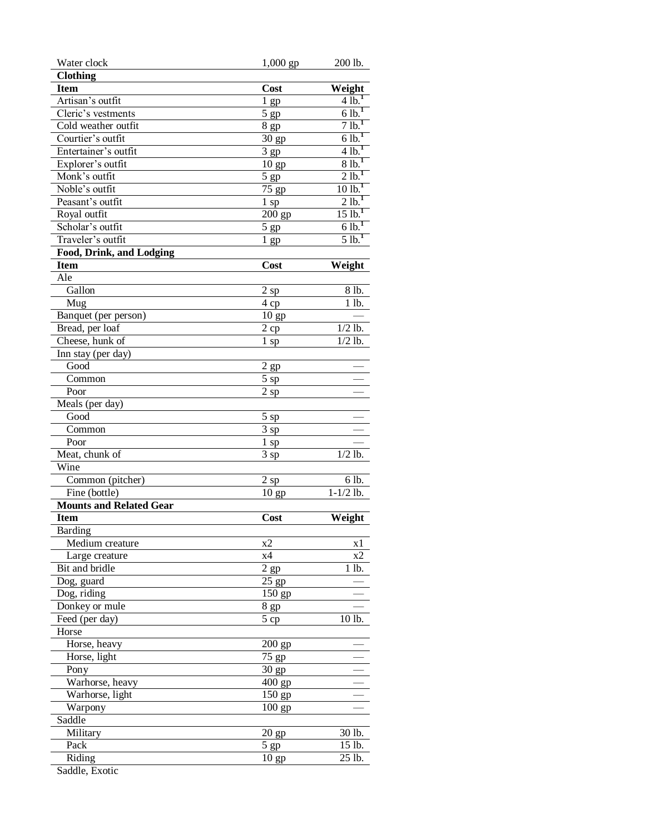| Water clock                    | $1,000$ gp       | 200 lb.                         |
|--------------------------------|------------------|---------------------------------|
| <b>Clothing</b>                |                  |                                 |
| <b>Item</b>                    | Cost             | Weight                          |
| Artisan's outfit               | $1$ gp           | 4 lb. <sup>1</sup>              |
| Cleric's vestments             | 5 <sub>gp</sub>  | $6 \text{ lb}^{\text{T}}$       |
| Cold weather outfit            | 8 gp             | $7 \text{ lb}^{-1}$             |
| Courtier's outfit              | 30 <sub>gp</sub> | $6 \text{ lb}$ <sup>T</sup>     |
| Entertainer's outfit           | 3 <sub>gp</sub>  | $4 \overline{1}b$ <sup>1</sup>  |
| Explorer's outfit              | $10$ gp          | 8 lb. <sup>1</sup>              |
| Monk's outfit                  | 5 <sub>gp</sub>  | 2 lb <sup>1</sup>               |
| Noble's outfit                 | 75 gp            | $10 \text{ lb.}^1$              |
| Peasant's outfit               | $1$ sp           | 2 lb. <sup>1</sup>              |
| Royal outfit                   | $200$ gp         | $15$ lb. <sup>1</sup>           |
| Scholar's outfit               | 5 gp             | $6 \text{ lb.}^1$               |
| Traveler's outfit              | 1 gp             | $\overline{5}$ lb. <sup>1</sup> |
| Food, Drink, and Lodging       |                  |                                 |
| <b>Item</b>                    | Cost             | Weight                          |
| Ale                            |                  |                                 |
| Gallon                         | $2$ sp           | 8 lb.                           |
| Mug                            | 4 cp             | 1 lb.                           |
| Banquet (per person)           | $10$ gp          |                                 |
| Bread, per loaf                | 2cp              | $1/2$ lb.                       |
| Cheese, hunk of                | 1 sp             | $1/2$ lb.                       |
| Inn stay (per day)             |                  |                                 |
| Good                           | 2 <sub>gp</sub>  |                                 |
| Common                         | 5 sp             |                                 |
| Poor                           | $2$ sp           |                                 |
| Meals (per day)                |                  |                                 |
| Good                           | 5 sp             |                                 |
| Common                         | 3 sp             |                                 |
| Poor                           | $1$ sp           |                                 |
| Meat, chunk of                 | 3 sp             | $1/2$ lb.                       |
| Wine                           |                  |                                 |
| Common (pitcher)               | $2$ sp           | 6 lb.                           |
| Fine (bottle)                  | $10$ gp          | $1 - 1/2$ lb.                   |
| <b>Mounts and Related Gear</b> |                  |                                 |
| Item                           | Cost             | Weight                          |
| <b>Barding</b>                 |                  |                                 |
| Medium creature                | x2               | хl                              |
| Large creature                 | х4               | x2                              |
| Bit and bridle                 | $2$ gp           | 1 lb.                           |
| Dog, guard                     | $25$ gp          |                                 |
| Dog, riding                    | 150 gp           |                                 |
| Donkey or mule                 | 8 gp             |                                 |
| Feed (per day)                 | 5cp              | 10 lb.                          |
| Horse                          |                  |                                 |
| Horse, heavy                   | $200$ gp         |                                 |
| Horse, light                   | 75 gp            |                                 |
| Pony                           | 30 gp            |                                 |
| Warhorse, heavy                | $400$ gp         |                                 |
| Warhorse, light                | 150 gp           |                                 |
| Warpony                        | $100$ gp         |                                 |
| Saddle                         |                  |                                 |
| Military                       | $20$ gp          | 30 lb.                          |
| Pack                           | 5 gp             | 15 lb.                          |
| Riding                         | $10$ gp          | 25 lb.                          |
| $Sadda$ Exotic                 |                  |                                 |

Saddle, Exotic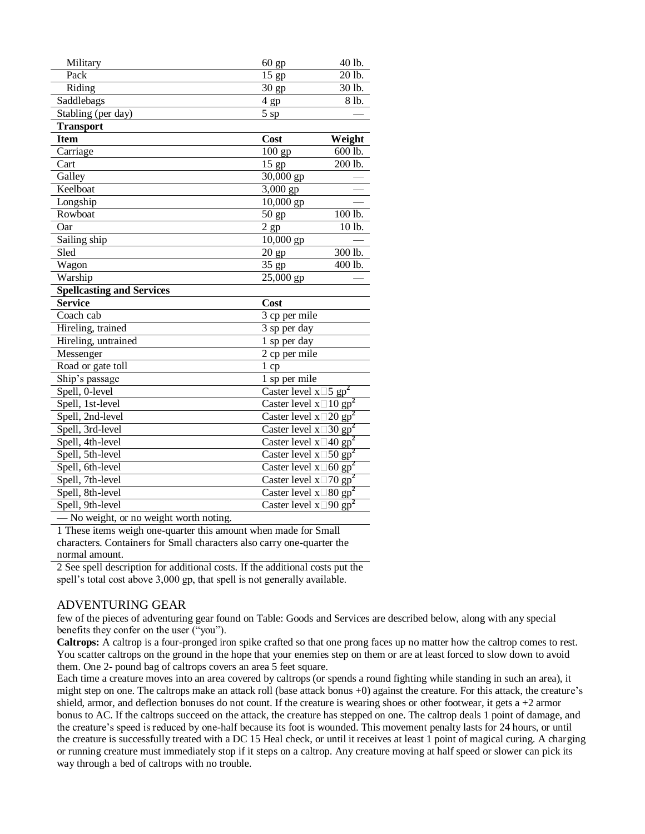| Military                                | 60 gp                                               | 40 lb.  |
|-----------------------------------------|-----------------------------------------------------|---------|
| Pack                                    | $\overline{15}$ gp                                  | 20 lb.  |
| Riding                                  | 30 gp                                               | 30 lb.  |
| Saddlebags                              | 4 gp                                                | 8 lb.   |
| Stabling (per day)                      | $5$ sp                                              |         |
| <b>Transport</b>                        |                                                     |         |
| <b>Item</b>                             | Cost                                                | Weight  |
| Carriage                                | $100$ gp                                            | 600 lb. |
| Cart                                    | $15$ gp                                             | 200 lb. |
| Galley                                  | 30,000 gp                                           |         |
| Keelboat                                | 3,000 gp                                            |         |
| Longship                                | 10,000 gp                                           |         |
| Rowboat                                 | 50 gp                                               | 100 lb. |
| Oar                                     | $2$ gp                                              | 10 lb.  |
| Sailing ship                            | 10,000 gp                                           |         |
| Sled                                    | $20$ gp                                             | 300 lb. |
| Wagon                                   | $35$ gp                                             | 400 lb. |
| Warship                                 | $25,000$ gp                                         |         |
| <b>Spellcasting and Services</b>        |                                                     |         |
| <b>Service</b>                          | Cost                                                |         |
| Coach cab                               | 3 cp per mile                                       |         |
| Hireling, trained                       | 3 sp per day                                        |         |
| Hireling, untrained                     | 1 sp per day                                        |         |
| Messenger                               | 2 cp per mile                                       |         |
| Road or gate toll                       | 1cp                                                 |         |
| Ship's passage                          | 1 sp per mile                                       |         |
| Spell, 0-level                          | $rac{5}{9}$ $\overline{gp}^2$<br>Caster level x□    |         |
| Spell, 1st-level                        | $10 \text{ gp}^2$<br>Caster level x                 |         |
| Spell, 2nd-level                        | $\frac{20 \text{ gp}^2}{ }$<br>Caster level $x\Box$ |         |
| Spell, 3rd-level                        | $\frac{30 \text{ gp}^2}{ }$<br>Caster level x       |         |
| Spell, 4th-level                        | $\frac{40 \text{ gp}^2}{ }$<br>Caster level x       |         |
| Spell, 5th-level                        | $\frac{50 \text{ gp}^2}{ }$<br>Caster level x       |         |
| Spell, 6th-level                        | $60 \text{ gp}^2$<br>Caster level x□                |         |
| Spell, 7th-level                        | $\frac{70 \text{ gp}^2}{ }$<br>Caster level x□      |         |
| Spell, 8th-level                        | $80 \text{ gp}^2$<br>Caster level x                 |         |
| Spell, 9th-level                        | $\frac{90 \text{ gp}^2}{ }$<br>Caster level x       |         |
| - No weight, or no weight worth noting. |                                                     |         |

1 These items weigh one-quarter this amount when made for Small characters. Containers for Small characters also carry one-quarter the normal amount.

2 See spell description for additional costs. If the additional costs put the spell's total cost above 3,000 gp, that spell is not generally available.

### ADVENTURING GEAR

few of the pieces of adventuring gear found on Table: Goods and Services are described below, along with any special benefits they confer on the user ("you").

**Caltrops:** A caltrop is a four-pronged iron spike crafted so that one prong faces up no matter how the caltrop comes to rest. You scatter caltrops on the ground in the hope that your enemies step on them or are at least forced to slow down to avoid them. One 2- pound bag of caltrops covers an area 5 feet square.

Each time a creature moves into an area covered by caltrops (or spends a round fighting while standing in such an area), it might step on one. The caltrops make an attack roll (base attack bonus +0) against the creature. For this attack, the creature's shield, armor, and deflection bonuses do not count. If the creature is wearing shoes or other footwear, it gets a  $+2$  armor bonus to AC. If the caltrops succeed on the attack, the creature has stepped on one. The caltrop deals 1 point of damage, and the creature's speed is reduced by one-half because its foot is wounded. This movement penalty lasts for 24 hours, or until the creature is successfully treated with a DC 15 Heal check, or until it receives at least 1 point of magical curing. A charging or running creature must immediately stop if it steps on a caltrop. Any creature moving at half speed or slower can pick its way through a bed of caltrops with no trouble.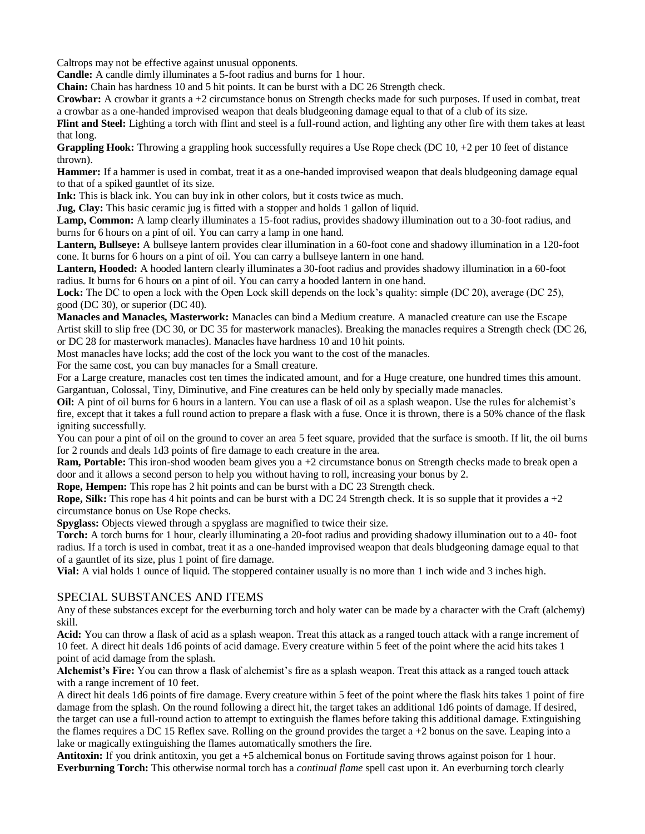Caltrops may not be effective against unusual opponents.

**Candle:** A candle dimly illuminates a 5-foot radius and burns for 1 hour.

**Chain:** Chain has hardness 10 and 5 hit points. It can be burst with a DC 26 Strength check.

**Crowbar:** A crowbar it grants a +2 circumstance bonus on Strength checks made for such purposes. If used in combat, treat a crowbar as a one-handed improvised weapon that deals bludgeoning damage equal to that of a club of its size.

**Flint and Steel:** Lighting a torch with flint and steel is a full-round action, and lighting any other fire with them takes at least that long.

**Grappling Hook:** Throwing a grappling hook successfully requires a Use Rope check (DC 10, +2 per 10 feet of distance thrown).

**Hammer:** If a hammer is used in combat, treat it as a one-handed improvised weapon that deals bludgeoning damage equal to that of a spiked gauntlet of its size.

**Ink:** This is black ink. You can buy ink in other colors, but it costs twice as much.

**Jug, Clay:** This basic ceramic jug is fitted with a stopper and holds 1 gallon of liquid.

**Lamp, Common:** A lamp clearly illuminates a 15-foot radius, provides shadowy illumination out to a 30-foot radius, and burns for 6 hours on a pint of oil. You can carry a lamp in one hand.

**Lantern, Bullseye:** A bullseye lantern provides clear illumination in a 60-foot cone and shadowy illumination in a 120-foot cone. It burns for 6 hours on a pint of oil. You can carry a bullseye lantern in one hand.

**Lantern, Hooded:** A hooded lantern clearly illuminates a 30-foot radius and provides shadowy illumination in a 60-foot radius. It burns for 6 hours on a pint of oil. You can carry a hooded lantern in one hand.

**Lock:** The DC to open a lock with the Open Lock skill depends on the lock's quality: simple (DC 20), average (DC 25), good (DC 30), or superior (DC 40).

**Manacles and Manacles, Masterwork:** Manacles can bind a Medium creature. A manacled creature can use the Escape Artist skill to slip free (DC 30, or DC 35 for masterwork manacles). Breaking the manacles requires a Strength check (DC 26, or DC 28 for masterwork manacles). Manacles have hardness 10 and 10 hit points.

Most manacles have locks; add the cost of the lock you want to the cost of the manacles.

For the same cost, you can buy manacles for a Small creature.

For a Large creature, manacles cost ten times the indicated amount, and for a Huge creature, one hundred times this amount. Gargantuan, Colossal, Tiny, Diminutive, and Fine creatures can be held only by specially made manacles.

**Oil:** A pint of oil burns for 6 hours in a lantern. You can use a flask of oil as a splash weapon. Use the rules for alchemist's fire, except that it takes a full round action to prepare a flask with a fuse. Once it is thrown, there is a 50% chance of the flask igniting successfully.

You can pour a pint of oil on the ground to cover an area 5 feet square, provided that the surface is smooth. If lit, the oil burns for 2 rounds and deals 1d3 points of fire damage to each creature in the area.

**Ram, Portable:** This iron-shod wooden beam gives you a +2 circumstance bonus on Strength checks made to break open a door and it allows a second person to help you without having to roll, increasing your bonus by 2.

**Rope, Hempen:** This rope has 2 hit points and can be burst with a DC 23 Strength check.

**Rope, Silk:** This rope has 4 hit points and can be burst with a DC 24 Strength check. It is so supple that it provides a +2 circumstance bonus on Use Rope checks.

**Spyglass:** Objects viewed through a spyglass are magnified to twice their size.

**Torch:** A torch burns for 1 hour, clearly illuminating a 20-foot radius and providing shadowy illumination out to a 40- foot radius. If a torch is used in combat, treat it as a one-handed improvised weapon that deals bludgeoning damage equal to that of a gauntlet of its size, plus 1 point of fire damage.

**Vial:** A vial holds 1 ounce of liquid. The stoppered container usually is no more than 1 inch wide and 3 inches high.

### SPECIAL SUBSTANCES AND ITEMS

Any of these substances except for the everburning torch and holy water can be made by a character with the Craft (alchemy) skill.

**Acid:** You can throw a flask of acid as a splash weapon. Treat this attack as a ranged touch attack with a range increment of 10 feet. A direct hit deals 1d6 points of acid damage. Every creature within 5 feet of the point where the acid hits takes 1 point of acid damage from the splash.

**Alchemist's Fire:** You can throw a flask of alchemist's fire as a splash weapon. Treat this attack as a ranged touch attack with a range increment of 10 feet.

A direct hit deals 1d6 points of fire damage. Every creature within 5 feet of the point where the flask hits takes 1 point of fire damage from the splash. On the round following a direct hit, the target takes an additional 1d6 points of damage. If desired, the target can use a full-round action to attempt to extinguish the flames before taking this additional damage. Extinguishing the flames requires a DC 15 Reflex save. Rolling on the ground provides the target a +2 bonus on the save. Leaping into a lake or magically extinguishing the flames automatically smothers the fire.

**Antitoxin:** If you drink antitoxin, you get a +5 alchemical bonus on Fortitude saving throws against poison for 1 hour. **Everburning Torch:** This otherwise normal torch has a *continual flame* spell cast upon it. An everburning torch clearly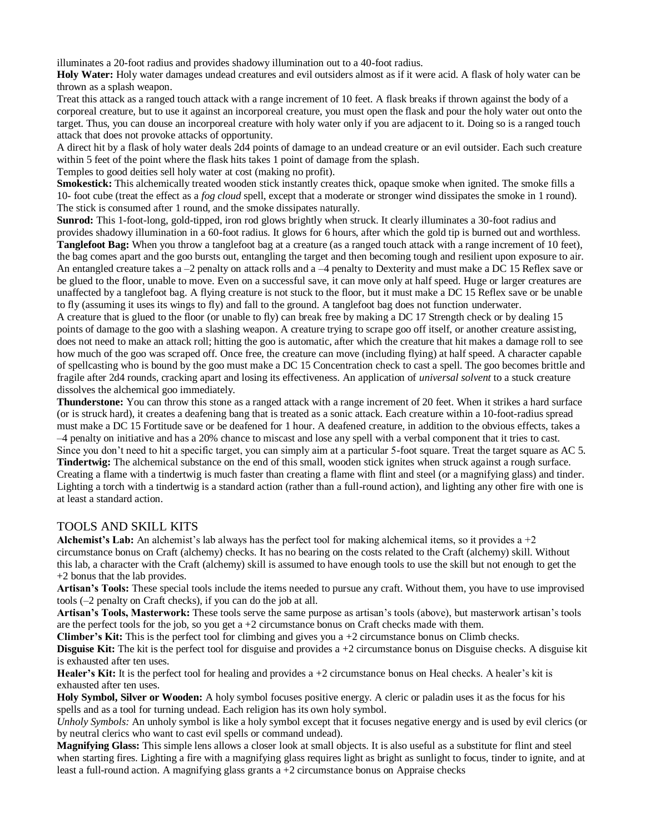illuminates a 20-foot radius and provides shadowy illumination out to a 40-foot radius.

**Holy Water:** Holy water damages undead creatures and evil outsiders almost as if it were acid. A flask of holy water can be thrown as a splash weapon.

Treat this attack as a ranged touch attack with a range increment of 10 feet. A flask breaks if thrown against the body of a corporeal creature, but to use it against an incorporeal creature, you must open the flask and pour the holy water out onto the target. Thus, you can douse an incorporeal creature with holy water only if you are adjacent to it. Doing so is a ranged touch attack that does not provoke attacks of opportunity.

A direct hit by a flask of holy water deals 2d4 points of damage to an undead creature or an evil outsider. Each such creature within 5 feet of the point where the flask hits takes 1 point of damage from the splash.

Temples to good deities sell holy water at cost (making no profit).

**Smokestick:** This alchemically treated wooden stick instantly creates thick, opaque smoke when ignited. The smoke fills a 10- foot cube (treat the effect as a *fog cloud* spell, except that a moderate or stronger wind dissipates the smoke in 1 round). The stick is consumed after 1 round, and the smoke dissipates naturally.

**Sunrod:** This 1-foot-long, gold-tipped, iron rod glows brightly when struck. It clearly illuminates a 30-foot radius and provides shadowy illumination in a 60-foot radius. It glows for 6 hours, after which the gold tip is burned out and worthless. **Tanglefoot Bag:** When you throw a tanglefoot bag at a creature (as a ranged touch attack with a range increment of 10 feet), the bag comes apart and the goo bursts out, entangling the target and then becoming tough and resilient upon exposure to air. An entangled creature takes a –2 penalty on attack rolls and a –4 penalty to Dexterity and must make a DC 15 Reflex save or be glued to the floor, unable to move. Even on a successful save, it can move only at half speed. Huge or larger creatures are unaffected by a tanglefoot bag. A flying creature is not stuck to the floor, but it must make a DC 15 Reflex save or be unable to fly (assuming it uses its wings to fly) and fall to the ground. A tanglefoot bag does not function underwater.

A creature that is glued to the floor (or unable to fly) can break free by making a DC 17 Strength check or by dealing 15 points of damage to the goo with a slashing weapon. A creature trying to scrape goo off itself, or another creature assisting, does not need to make an attack roll; hitting the goo is automatic, after which the creature that hit makes a damage roll to see how much of the goo was scraped off. Once free, the creature can move (including flying) at half speed. A character capable of spellcasting who is bound by the goo must make a DC 15 Concentration check to cast a spell. The goo becomes brittle and fragile after 2d4 rounds, cracking apart and losing its effectiveness. An application of *universal solvent* to a stuck creature dissolves the alchemical goo immediately.

**Thunderstone:** You can throw this stone as a ranged attack with a range increment of 20 feet. When it strikes a hard surface (or is struck hard), it creates a deafening bang that is treated as a sonic attack. Each creature within a 10-foot-radius spread must make a DC 15 Fortitude save or be deafened for 1 hour. A deafened creature, in addition to the obvious effects, takes a –4 penalty on initiative and has a 20% chance to miscast and lose any spell with a verbal component that it tries to cast. Since you don't need to hit a specific target, you can simply aim at a particular 5-foot square. Treat the target square as AC 5. **Tindertwig:** The alchemical substance on the end of this small, wooden stick ignites when struck against a rough surface. Creating a flame with a tindertwig is much faster than creating a flame with flint and steel (or a magnifying glass) and tinder. Lighting a torch with a tindertwig is a standard action (rather than a full-round action), and lighting any other fire with one is at least a standard action.

### TOOLS AND SKILL KITS

**Alchemist's Lab:** An alchemist's lab always has the perfect tool for making alchemical items, so it provides a +2 circumstance bonus on Craft (alchemy) checks. It has no bearing on the costs related to the Craft (alchemy) skill. Without this lab, a character with the Craft (alchemy) skill is assumed to have enough tools to use the skill but not enough to get the +2 bonus that the lab provides.

**Artisan's Tools:** These special tools include the items needed to pursue any craft. Without them, you have to use improvised tools (–2 penalty on Craft checks), if you can do the job at all.

**Artisan's Tools, Masterwork:** These tools serve the same purpose as artisan's tools (above), but masterwork artisan's tools are the perfect tools for the job, so you get a  $+2$  circumstance bonus on Craft checks made with them.

**Climber's Kit:** This is the perfect tool for climbing and gives you a +2 circumstance bonus on Climb checks.

**Disguise Kit:** The kit is the perfect tool for disguise and provides a +2 circumstance bonus on Disguise checks. A disguise kit is exhausted after ten uses.

**Healer's Kit:** It is the perfect tool for healing and provides a +2 circumstance bonus on Heal checks. A healer's kit is exhausted after ten uses.

**Holy Symbol, Silver or Wooden:** A holy symbol focuses positive energy. A cleric or paladin uses it as the focus for his spells and as a tool for turning undead. Each religion has its own holy symbol.

*Unholy Symbols:* An unholy symbol is like a holy symbol except that it focuses negative energy and is used by evil clerics (or by neutral clerics who want to cast evil spells or command undead).

**Magnifying Glass:** This simple lens allows a closer look at small objects. It is also useful as a substitute for flint and steel when starting fires. Lighting a fire with a magnifying glass requires light as bright as sunlight to focus, tinder to ignite, and at least a full-round action. A magnifying glass grants  $a + 2$  circumstance bonus on Appraise checks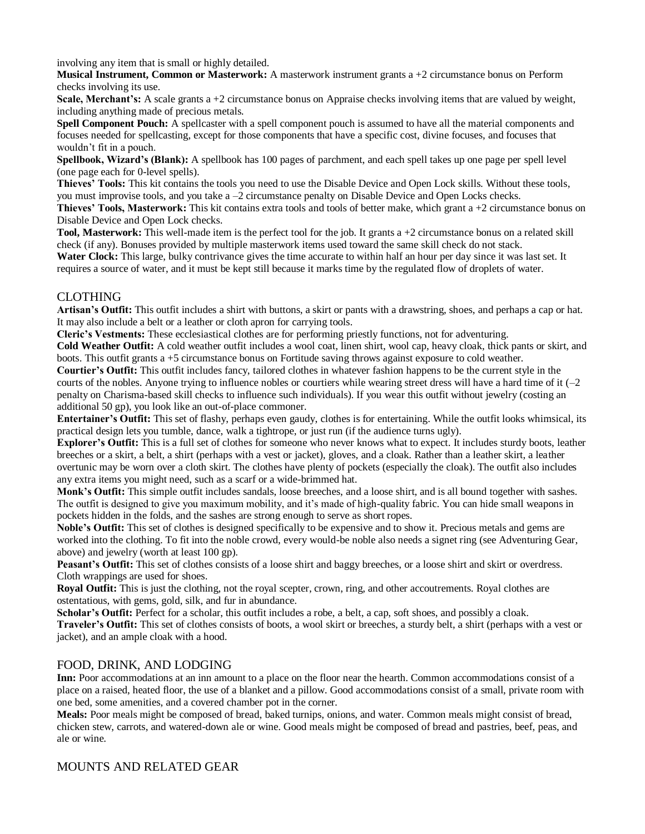involving any item that is small or highly detailed.

**Musical Instrument, Common or Masterwork:** A masterwork instrument grants a +2 circumstance bonus on Perform checks involving its use.

**Scale, Merchant's:** A scale grants a +2 circumstance bonus on Appraise checks involving items that are valued by weight, including anything made of precious metals.

**Spell Component Pouch:** A spellcaster with a spell component pouch is assumed to have all the material components and focuses needed for spellcasting, except for those components that have a specific cost, divine focuses, and focuses that wouldn't fit in a pouch.

**Spellbook, Wizard's (Blank):** A spellbook has 100 pages of parchment, and each spell takes up one page per spell level (one page each for 0-level spells).

**Thieves' Tools:** This kit contains the tools you need to use the Disable Device and Open Lock skills. Without these tools, you must improvise tools, and you take a –2 circumstance penalty on Disable Device and Open Locks checks.

**Thieves' Tools, Masterwork:** This kit contains extra tools and tools of better make, which grant a +2 circumstance bonus on Disable Device and Open Lock checks.

**Tool, Masterwork:** This well-made item is the perfect tool for the job. It grants a +2 circumstance bonus on a related skill check (if any). Bonuses provided by multiple masterwork items used toward the same skill check do not stack.

**Water Clock:** This large, bulky contrivance gives the time accurate to within half an hour per day since it was last set. It requires a source of water, and it must be kept still because it marks time by the regulated flow of droplets of water.

### CLOTHING

**Artisan's Outfit:** This outfit includes a shirt with buttons, a skirt or pants with a drawstring, shoes, and perhaps a cap or hat. It may also include a belt or a leather or cloth apron for carrying tools.

**Cleric's Vestments:** These ecclesiastical clothes are for performing priestly functions, not for adventuring.

**Cold Weather Outfit:** A cold weather outfit includes a wool coat, linen shirt, wool cap, heavy cloak, thick pants or skirt, and boots. This outfit grants a +5 circumstance bonus on Fortitude saving throws against exposure to cold weather.

**Courtier's Outfit:** This outfit includes fancy, tailored clothes in whatever fashion happens to be the current style in the courts of the nobles. Anyone trying to influence nobles or courtiers while wearing street dress will have a hard time of it  $(-2)$ penalty on Charisma-based skill checks to influence such individuals). If you wear this outfit without jewelry (costing an additional 50 gp), you look like an out-of-place commoner.

**Entertainer's Outfit:** This set of flashy, perhaps even gaudy, clothes is for entertaining. While the outfit looks whimsical, its practical design lets you tumble, dance, walk a tightrope, or just run (if the audience turns ugly).

**Explorer's Outfit:** This is a full set of clothes for someone who never knows what to expect. It includes sturdy boots, leather breeches or a skirt, a belt, a shirt (perhaps with a vest or jacket), gloves, and a cloak. Rather than a leather skirt, a leather overtunic may be worn over a cloth skirt. The clothes have plenty of pockets (especially the cloak). The outfit also includes any extra items you might need, such as a scarf or a wide-brimmed hat.

**Monk's Outfit:** This simple outfit includes sandals, loose breeches, and a loose shirt, and is all bound together with sashes. The outfit is designed to give you maximum mobility, and it's made of high-quality fabric. You can hide small weapons in pockets hidden in the folds, and the sashes are strong enough to serve as short ropes.

**Noble's Outfit:** This set of clothes is designed specifically to be expensive and to show it. Precious metals and gems are worked into the clothing. To fit into the noble crowd, every would-be noble also needs a signet ring (see Adventuring Gear, above) and jewelry (worth at least 100 gp).

**Peasant's Outfit:** This set of clothes consists of a loose shirt and baggy breeches, or a loose shirt and skirt or overdress. Cloth wrappings are used for shoes.

**Royal Outfit:** This is just the clothing, not the royal scepter, crown, ring, and other accoutrements. Royal clothes are ostentatious, with gems, gold, silk, and fur in abundance.

Scholar's Outfit: Perfect for a scholar, this outfit includes a robe, a belt, a cap, soft shoes, and possibly a cloak.

**Traveler's Outfit:** This set of clothes consists of boots, a wool skirt or breeches, a sturdy belt, a shirt (perhaps with a vest or jacket), and an ample cloak with a hood.

### FOOD, DRINK, AND LODGING

**Inn:** Poor accommodations at an inn amount to a place on the floor near the hearth. Common accommodations consist of a place on a raised, heated floor, the use of a blanket and a pillow. Good accommodations consist of a small, private room with one bed, some amenities, and a covered chamber pot in the corner.

**Meals:** Poor meals might be composed of bread, baked turnips, onions, and water. Common meals might consist of bread, chicken stew, carrots, and watered-down ale or wine. Good meals might be composed of bread and pastries, beef, peas, and ale or wine.

### MOUNTS AND RELATED GEAR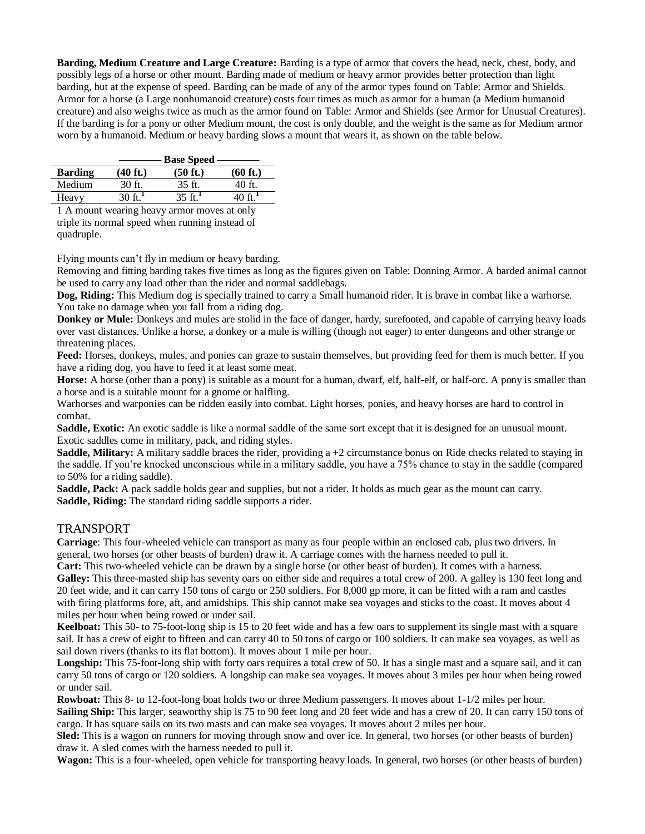**Barding, Medium Creature and Large Creature:** Barding is a type of armor that covers the head, neck, chest, body, and possibly legs of a horse or other mount. Barding made of medium or heavy armor provides better protection than light barding, but at the expense of speed. Barding can be made of any of the armor types found on Table: Armor and Shields. Armor for a horse (a Large nonhumanoid creature) costs four times as much as armor for a human (a Medium humanoid creature) and also weighs twice as much as the armor found on Table: Armor and Shields (see Armor for Unusual Creatures). If the barding is for a pony or other Medium mount, the cost is only double, and the weight is the same as for Medium armor worn by a humanoid. Medium or heavy barding slows a mount that wears it, as shown on the table below.

|                | <b>Base Speed</b>    |                      |          |
|----------------|----------------------|----------------------|----------|
| <b>Barding</b> | (40 ft.)             | $(50$ ft.)           | (60 ft.) |
| Medium         | $30$ ft.             | $35$ ft.             | 40 ft.   |
| Heavy          | $30 \text{ ft}^{-1}$ | $35 \text{ ft}^{-1}$ | 40 ft.   |

1 A mount wearing heavy armor moves at only triple its normal speed when running instead of quadruple.

Flying mounts can't fly in medium or heavy barding.

Removing and fitting barding takes five times as long as the figures given on Table: Donning Armor. A barded animal cannot be used to carry any load other than the rider and normal saddlebags.

**Dog, Riding:** This Medium dog is specially trained to carry a Small humanoid rider. It is brave in combat like a warhorse. You take no damage when you fall from a riding dog.

**Donkey or Mule:** Donkeys and mules are stolid in the face of danger, hardy, surefooted, and capable of carrying heavy loads over vast distances. Unlike a horse, a donkey or a mule is willing (though not eager) to enter dungeons and other strange or threatening places.

**Feed:** Horses, donkeys, mules, and ponies can graze to sustain themselves, but providing feed for them is much better. If you have a riding dog, you have to feed it at least some meat.

**Horse:** A horse (other than a pony) is suitable as a mount for a human, dwarf, elf, half-elf, or half-orc. A pony is smaller than a horse and is a suitable mount for a gnome or halfling.

Warhorses and warponies can be ridden easily into combat. Light horses, ponies, and heavy horses are hard to control in combat.

**Saddle, Exotic:** An exotic saddle is like a normal saddle of the same sort except that it is designed for an unusual mount. Exotic saddles come in military, pack, and riding styles.

**Saddle, Military:** A military saddle braces the rider, providing a +2 circumstance bonus on Ride checks related to staying in the saddle. If you're knocked unconscious while in a military saddle, you have a 75% chance to stay in the saddle (compared to 50% for a riding saddle).

**Saddle, Pack:** A pack saddle holds gear and supplies, but not a rider. It holds as much gear as the mount can carry. **Saddle, Riding:** The standard riding saddle supports a rider.

### TRANSPORT

**Carriage**: This four-wheeled vehicle can transport as many as four people within an enclosed cab, plus two drivers. In general, two horses (or other beasts of burden) draw it. A carriage comes with the harness needed to pull it.

**Cart:** This two-wheeled vehicle can be drawn by a single horse (or other beast of burden). It comes with a harness. **Galley:** This three-masted ship has seventy oars on either side and requires a total crew of 200. A galley is 130 feet long and 20 feet wide, and it can carry 150 tons of cargo or 250 soldiers. For 8,000 gp more, it can be fitted with a ram and castles with firing platforms fore, aft, and amidships. This ship cannot make sea voyages and sticks to the coast. It moves about 4 miles per hour when being rowed or under sail.

**Keelboat:** This 50- to 75-foot-long ship is 15 to 20 feet wide and has a few oars to supplement its single mast with a square sail. It has a crew of eight to fifteen and can carry 40 to 50 tons of cargo or 100 soldiers. It can make sea voyages, as well as sail down rivers (thanks to its flat bottom). It moves about 1 mile per hour.

**Longship:** This 75-foot-long ship with forty oars requires a total crew of 50. It has a single mast and a square sail, and it can carry 50 tons of cargo or 120 soldiers. A longship can make sea voyages. It moves about 3 miles per hour when being rowed or under sail.

**Rowboat:** This 8- to 12-foot-long boat holds two or three Medium passengers. It moves about 1-1/2 miles per hour.

**Sailing Ship:** This larger, seaworthy ship is 75 to 90 feet long and 20 feet wide and has a crew of 20. It can carry 150 tons of cargo. It has square sails on its two masts and can make sea voyages. It moves about 2 miles per hour.

**Sled:** This is a wagon on runners for moving through snow and over ice. In general, two horses (or other beasts of burden) draw it. A sled comes with the harness needed to pull it.

**Wagon:** This is a four-wheeled, open vehicle for transporting heavy loads. In general, two horses (or other beasts of burden)